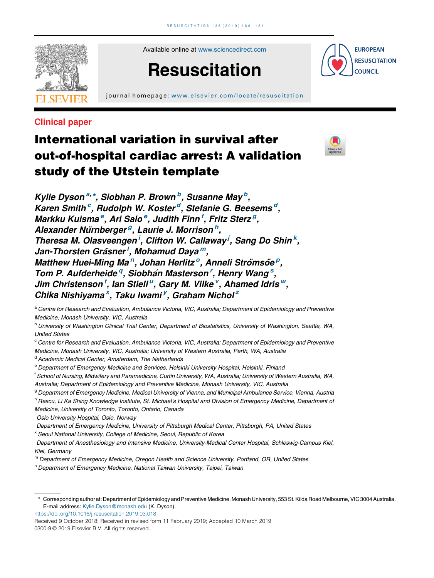

Available online at [www.sciencedirect.com](http://www.sciencedirect.com/science/journal/03009572)

# **Resuscitation**

journal homepage: [www.elsevier.com/locate/resus c](www.elsevier.com/locate/resuscitation) itation



**EUROPEAN RESUSCITATION COUNCIL** 

Clinical paper

# International variation in survival after out-of-hospital cardiac arrest: A validation study of the Utstein template

Kylie Dyson<sup>a, \*</sup>, Siobhan P. Brown<sup>b</sup>, Susanne May<sup>b</sup>, Karen Smith<sup>c</sup>, Rudolph W. Koster<sup>d</sup>, Stefanie G. Beesems<sup>d</sup>, Markku Kuisma<sup>e</sup>, Ari Salo<sup>e</sup>, Judith Finn<sup>f</sup>, Fritz Sterz<sup>g</sup>, Alexander Nürnberger<sup>g</sup>, Laurie J. Morrison<sup>h</sup>, Theresa M. Olasveengen<sup>i</sup>, Clifton W. Callaway<sup>i</sup>, Sang Do Shin<sup>k</sup>, Jan-Thorsten Gräsner<sup>!</sup>, Mohamud Daya<sup>m</sup>, Matthew Huei-Ming Ma<sup>n</sup>, J[o](#page-1-0)han Herlitz<su[p](#page-1-0)>o</sup>, Anneli Strömsöe<sup>p</sup>, Tom P. Aufderheide<sup>[q](#page-1-0)</sup>, Siobhán Maste[r](#page-1-0)[s](#page-1-0)on<sup>r</sup>, Henry Wang<sup>s</sup>, Jim Chris[t](#page-1-0)enson<s[u](#page-1-0)p>t</sup>, Ian Stiell<sup>u</sup>, Gary M. Vilke<sup>[v](#page-1-0)</sup>, Ahamed Idris<sup>[w](#page-1-0)</sup>, Chika Nishiyama<sup>[x](#page-1-0)</sup>, Taku Iwami<sup>[y](#page-1-0)</sup>, Graham Nichol<sup>2</sup>

a Centre for Research and Evaluation, Ambulance Victoria, VIC, Australia; Department of Epidemiology and Preventive Medicine, Monash University, VIC, Australia

<sup>b</sup> University of Washington Clinical Trial Center, Department of Biostatistics, University of Washington, Seattle, WA, United States

<sup>c</sup> Centre for Research and Evaluation, Ambulance Victoria, VIC, Australia; Department of Epidemiology and Preventive Medicine, Monash University, VIC, Australia; University of Western Australia, Perth, WA, Australia

<sup>d</sup> Academic Medical Center, Amsterdam, The Netherlands

<sup>e</sup> Department of Emergency Medicine and Services, Helsinki University Hospital, Helsinki, Finland

<sup>t</sup> School of Nursing, Midwifery and Paramedicine, Curtin University, WA, Australia; University of Western Australia, WA, Australia; Department of Epidemiology and Preventive Medicine, Monash University, VIC, Australia

<sup>g</sup> Department of Emergency Medicine, Medical University of Vienna, and Municipal Ambulance Service, Vienna, Austria

h Rescu, Li Ka Shing Knowledge Institute, St. Michael's Hospital and Division of Emergency Medicine, Department of Medicine, University of Toronto, Toronto, Ontario, Canada

i Oslo University Hospital, Oslo, Norway

j Department of Emergency Medicine, University of Pittsburgh Medical Center, Pittsburgh, PA, United States

k Seoul National University, College of Medicine, Seoul, Republic of Korea

l Department of Anesthesiology and Intensive Medicine, University-Medical Center Hospital, Schleswig-Campus Kiel, Kiel, Germany

<sup>m</sup> Department of Emergency Medicine, Oregon Health and Science University, Portland, OR, United States

n Department of Emergency Medicine, National Taiwan University, Taipei, Taiwan

<https://doi.org/10.1016/j.resuscitation.2019.03.018>

Received 9 October 2018; Received in revised form 11 February 2019; Accepted 10 March 2019 0300-9 © 2019 Elsevier B.V. All rights reserved.

Corresponding author at: Department of Epidemiology and Preventive Medicine, Monash University, 553 St. Kilda Road Melbourne, VIC 3004 Australia. E-mail address: [Kylie.Dyson@monash.edu](mailto:Kylie.Dyson@monash.edu) (K. Dyson).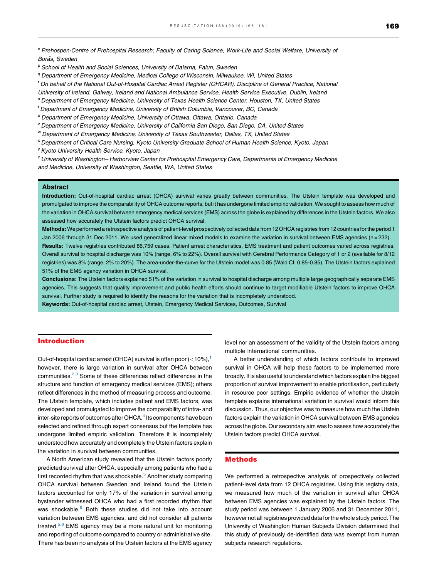<span id="page-1-0"></span><sup>o</sup> Prehospen-Centre of Prehospital Research; Faculty of Caring Science, Work-Life and Social Welfare, University of Bora<sup>s</sup>, Sweden

<sup>p</sup> School of Health and Social Sciences, University of Dalarna, Falun, Sweden

<sup>q</sup> Department of Emergency Medicine, Medical College of Wisconsin, Milwaukee, WI, United States

r On behalf of the National Out-of-Hospital Cardiac Arrest Register (OHCAR). Discipline of General Practice, National

- University of Ireland, Galway, Ireland and National Ambulance Service, Health Service Executive, Dublin, Ireland
- <sup>s</sup> Department of Emergency Medicine, University of Texas Health Science Center, Houston, TX, United States
- <sup>t</sup> Department of Emergency Medicine, University of British Columbia, Vancouver, BC, Canada
- <sup>u</sup> Department of Emergency Medicine, University of Ottawa, Ottawa, Ontario, Canada
- <sup>v</sup> Department of Emergency Medicine, University of California San Diego, San Diego, CA, United States

<sup>w</sup> Department of Emergency Medicine, University of Texas Southwester, Dallas, TX, United States

<sup>x</sup> Department of Critical Care Nursing, Kyoto University Graduate School of Human Health Science, Kyoto, Japan

<sup>y</sup> Kvoto University Health Service, Kyoto, Japan

<sup>z</sup> University of Washington– Harborview Center for Prehospital Emergency Care, Departments of Emergency Medicine and Medicine, University of Washington, Seattle, WA, United States

### **Abstract**

Introduction: Out-of-hospital cardiac arrest (OHCA) survival varies greatly between communities. The Utstein template was developed and promulgated to improve the comparability of OHCA outcome reports, but it has undergone limited empiric validation. We sought to assess how much of the variation in OHCA survival between emergency medical services (EMS) across the globe is explained by differences in the Utstein factors. We also assessed how accurately the Utstein factors predict OHCA survival.

Methods: We performed a retrospective analysis of patient-level prospectively collected data from 12 OHCA registries from 12 countries for the period 1 Jan 2006 through 31 Dec 2011. We used generalized linear mixed models to examine the variation in survival between EMS agencies (n = 232). Results: Twelve registries contributed 86,759 cases. Patient arrest characteristics, EMS treatment and patient outcomes varied across registries. Overall survival to hospital discharge was 10% (range, 6% to 22%). Overall survival with Cerebral Performance Category of 1 or 2 (available for 8/12 registries) was 8% (range, 2% to 20%). The area-under-the-curve for the Utstein model was 0.85 (Wald CI: 0.85–0.85). The Utstein factors explained 51% of the EMS agency variation in OHCA survival.

Conclusions: The Utstein factors explained 51% of the variation in survival to hospital discharge among multiple large geographically separate EMS agencies. This suggests that quality improvement and public health efforts should continue to target modifiable Utstein factors to improve OHCA survival. Further study is required to identify the reasons for the variation that is incompletely understood.

Keywords: Out-of-hospital cardiac arrest, Utstein, Emergency Medical Services, Outcomes, Survival

### Introduction

Out-of-hospital cardiac arrest (OHCA) survival is often poor  $\left($  < [1](#page-12-0)0%),<sup>1</sup> however, there is large variation in survival after OHCA between communities.<sup>2,3</sup> Some of these [differences](#page-12-0) reflect differences in the structure and function of emergency medical services (EMS); others reflect differences in the method of measuring process and outcome. The Utstein template, which includes patient and EMS factors, was developed and promulgated to improve the comparability of intra- and inter-site reports of outcomes after OHCA.<sup>[4](#page-13-0)</sup> Its components have been selected and refined through expert consensus but the template has undergone limited empiric validation. Therefore it is incompletely understood how accurately and completely the Utstein factors explain the variation in survival between communities.

A North American study revealed that the Utstein factors poorly predicted survival after OHCA, especially among patients who had a first recorded rhythm that was shockable.<sup>[5](#page-13-0)</sup> Another study comparing OHCA survival between Sweden and Ireland found the Utstein factors accounted for only 17% of the variation in survival among bystander witnessed OHCA who had a first recorded rhythm that was shockable.<sup>[6](#page-13-0)</sup> Both these studies did not take into account variation between EMS agencies, and did not consider all patients treated.<sup>5,6</sup> EMS agency may be a more natural unit for [monitoring](#page-13-0) and reporting of outcome compared to country or administrative site. There has been no analysis of the Utstein factors at the EMS agency

level nor an assessment of the validity of the Utstein factors among multiple international communities.

A better understanding of which factors contribute to improved survival in OHCA will help these factors to be implemented more broadly. It is also useful to understand which factors explain the biggest proportion of survival improvement to enable prioritisation, particularly in resource poor settings. Empiric evidence of whether the Utstein template explains international variation in survival would inform this discussion. Thus, our objective was to measure how much the Utstein factors explain the variation in OHCA survival between EMS agencies across the globe. Our secondary aim was to assess how accurately the Utstein factors predict OHCA survival.

### Methods

We performed a retrospective analysis of prospectively collected patient-level data from 12 OHCA registries. Using this registry data, we measured how much of the variation in survival after OHCA between EMS agencies was explained by the Utstein factors. The study period was between 1 January 2006 and 31 December 2011, however not all registries provided data for the whole study period. The University of Washington Human Subjects Division determined that this study of previously de-identified data was exempt from human subjects research regulations.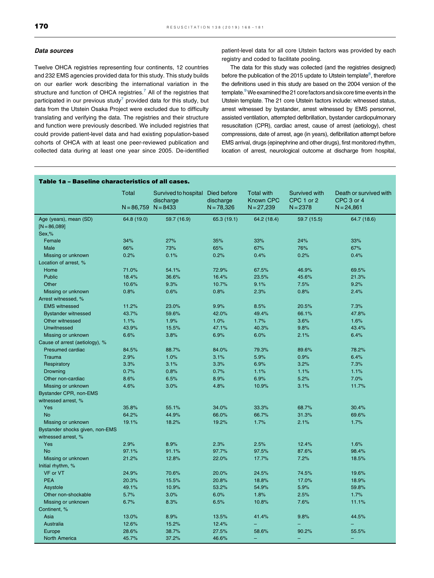### <span id="page-2-0"></span>Data sources

Twelve OHCA registries representing four continents, 12 countries and 232 EMS agencies provided data for this study. This study builds on our earlier work describing the international variation in the structure and function of OHCA registries.<sup>7</sup> All of the registries that participated in our previous study<sup>[7](#page-13-0)</sup> provided data for this study, but data from the Utstein Osaka Project were excluded due to difficulty translating and verifying the data. The registries and their structure and function were previously described. We included registries that could provide patient-level data and had existing population-based cohorts of OHCA with at least one peer-reviewed publication and collected data during at least one year since 2005. De-identified patient-level data for all core Utstein factors was provided by each registry and coded to facilitate pooling.

The data for this study was collected (and the registries designed) before the publication of the 2015 update to Utstein template<sup>[8](#page-13-0)</sup>, therefore the definitions used in this study are based on the 2004 version of the template.<sup>9</sup> We examined the 21 core factors and six core time events in the Utstein template. The 21 core Utstein factors include: witnessed status, arrest witnessed by bystander, arrest witnessed by EMS personnel, assisted ventilation, attempted defibrillation, bystander cardiopulmonary resuscitation (CPR), cardiac arrest, cause of arrest (aetiology), chest compressions, date of arrest, age (in years), defibrillation attempt before EMS arrival, drugs (epinephrine and other drugs), first monitored rhythm, location of arrest, neurological outcome at discharge from hospital,

| Total<br>Survived to hospital<br>Died before<br><b>Total with</b><br>Survived with<br>Death or survived with<br>discharge<br><b>Known CPC</b><br>CPC 1 or 2<br>CPC 3 or 4<br>discharge<br>$N = 86,759$ $N = 8433$<br>$N = 78,326$<br>$N = 27,239$<br>$N = 2378$<br>$N = 24,861$<br>Age (years), mean (SD)<br>59.7 (16.9)<br>65.3 (19.1)<br>64.2 (18.4)<br>59.7 (15.5)<br>64.7 (18.6)<br>64.8 (19.0)<br>$[N = 86,089]$<br>Sex,%<br>34%<br>27%<br>33%<br>24%<br>33%<br>Female<br>35%<br>76%<br>67%<br>Male<br>66%<br>73%<br>65%<br>67%<br>Missing or unknown<br>0.2%<br>0.1%<br>0.2%<br>0.4%<br>0.2%<br>0.4%<br>Location of arrest, %<br>Home<br>71.0%<br>54.1%<br>72.9%<br>67.5%<br>46.9%<br>69.5%<br><b>Public</b><br>45.6%<br>21.3%<br>18.4%<br>36.6%<br>16.4%<br>23.5%<br>Other<br>9.2%<br>10.6%<br>9.3%<br>10.7%<br>9.1%<br>7.5%<br>0.8%<br>2.4%<br>Missing or unknown<br>0.8%<br>0.6%<br>2.3%<br>0.8%<br>Arrest witnessed, %<br>23.0%<br>9.9%<br><b>EMS</b> witnessed<br>11.2%<br>8.5%<br>20.5%<br>7.3%<br><b>Bystander witnessed</b><br>43.7%<br>59.6%<br>42.0%<br>49.4%<br>66.1%<br>47.8%<br>Other witnessed<br>1.1%<br>1.9%<br>1.0%<br>1.7%<br>3.6%<br>1.6%<br>43.4%<br>Unwitnessed<br>43.9%<br>15.5%<br>47.1%<br>40.3%<br>9.8%<br>Missing or unknown<br>6.6%<br>3.8%<br>6.9%<br>6.0%<br>6.4%<br>2.1%<br>Cause of arrest (aetiology), %<br>Presumed cardiac<br>84.5%<br>88.7%<br>84.0%<br>79.3%<br>89.6%<br>78.2%<br>Trauma<br>2.9%<br>1.0%<br>3.1%<br>5.9%<br>0.9%<br>6.4%<br>Respiratory<br>3.3%<br>3.1%<br>3.3%<br>6.9%<br>3.2%<br>7.3%<br>0.7%<br>0.8%<br>0.7%<br>1.1%<br>1.1%<br>1.1%<br>Drowning<br>6.9%<br>Other non-cardiac<br>8.6%<br>6.5%<br>8.9%<br>5.2%<br>7.0%<br>Missing or unknown<br>4.6%<br>3.0%<br>4.8%<br>10.9%<br>3.1%<br>11.7%<br><b>Bystander CPR, non-EMS</b><br>witnessed arrest, %<br>Yes<br>35.8%<br>55.1%<br>34.0%<br>33.3%<br>68.7%<br>30.4%<br>31.3%<br><b>No</b><br>64.2%<br>44.9%<br>66.0%<br>66.7%<br>69.6%<br>Missing or unknown<br>19.1%<br>18.2%<br>19.2%<br>1.7%<br>2.1%<br>1.7%<br>Bystander shocks given, non-EMS<br>witnessed arrest, %<br>2.9%<br>8.9%<br>2.3%<br>12.4%<br>Yes<br>2.5%<br>1.6%<br><b>No</b><br>97.1%<br>91.1%<br>97.7%<br>97.5%<br>87.6%<br>98.4%<br>Missing or unknown<br>21.2%<br>12.8%<br>22.0%<br>7.2%<br>18.5%<br>17.7%<br>Initial rhythm, %<br>VF or VT<br>24.9%<br>70.6%<br>20.0%<br>24.5%<br>74.5%<br>19.6%<br><b>PEA</b><br>20.3%<br>15.5%<br>20.8%<br>18.8%<br>17.0%<br>18.9%<br>49.1%<br>10.9%<br>53.2%<br>54.9%<br>5.9%<br>59.8%<br>Asystole<br>Other non-shockable<br>5.7%<br>3.0%<br>6.0%<br>1.8%<br>2.5%<br>1.7%<br>Missing or unknown<br>6.7%<br>8.3%<br>6.5%<br>10.8%<br>11.1%<br>7.6%<br>Continent, %<br>Asia<br>13.0%<br>8.9%<br>13.5%<br>41.4%<br>9.8%<br>44.5%<br>Australia<br>12.6%<br>15.2%<br>12.4%<br>28.6%<br>38.7%<br>27.5%<br>58.6%<br>90.2%<br>55.5%<br>Europe | Table 1a - Baseline characteristics of all cases. |       |       |       |  |  |
|------------------------------------------------------------------------------------------------------------------------------------------------------------------------------------------------------------------------------------------------------------------------------------------------------------------------------------------------------------------------------------------------------------------------------------------------------------------------------------------------------------------------------------------------------------------------------------------------------------------------------------------------------------------------------------------------------------------------------------------------------------------------------------------------------------------------------------------------------------------------------------------------------------------------------------------------------------------------------------------------------------------------------------------------------------------------------------------------------------------------------------------------------------------------------------------------------------------------------------------------------------------------------------------------------------------------------------------------------------------------------------------------------------------------------------------------------------------------------------------------------------------------------------------------------------------------------------------------------------------------------------------------------------------------------------------------------------------------------------------------------------------------------------------------------------------------------------------------------------------------------------------------------------------------------------------------------------------------------------------------------------------------------------------------------------------------------------------------------------------------------------------------------------------------------------------------------------------------------------------------------------------------------------------------------------------------------------------------------------------------------------------------------------------------------------------------------------------------------------------------------------------------------------------------------------------------------------------------------------------------------------------------------------------------------------------------------------------------------------------------------------------------------------------------------------------------------------------------------------|---------------------------------------------------|-------|-------|-------|--|--|
|                                                                                                                                                                                                                                                                                                                                                                                                                                                                                                                                                                                                                                                                                                                                                                                                                                                                                                                                                                                                                                                                                                                                                                                                                                                                                                                                                                                                                                                                                                                                                                                                                                                                                                                                                                                                                                                                                                                                                                                                                                                                                                                                                                                                                                                                                                                                                                                                                                                                                                                                                                                                                                                                                                                                                                                                                                                            |                                                   |       |       |       |  |  |
|                                                                                                                                                                                                                                                                                                                                                                                                                                                                                                                                                                                                                                                                                                                                                                                                                                                                                                                                                                                                                                                                                                                                                                                                                                                                                                                                                                                                                                                                                                                                                                                                                                                                                                                                                                                                                                                                                                                                                                                                                                                                                                                                                                                                                                                                                                                                                                                                                                                                                                                                                                                                                                                                                                                                                                                                                                                            |                                                   |       |       |       |  |  |
|                                                                                                                                                                                                                                                                                                                                                                                                                                                                                                                                                                                                                                                                                                                                                                                                                                                                                                                                                                                                                                                                                                                                                                                                                                                                                                                                                                                                                                                                                                                                                                                                                                                                                                                                                                                                                                                                                                                                                                                                                                                                                                                                                                                                                                                                                                                                                                                                                                                                                                                                                                                                                                                                                                                                                                                                                                                            |                                                   |       |       |       |  |  |
|                                                                                                                                                                                                                                                                                                                                                                                                                                                                                                                                                                                                                                                                                                                                                                                                                                                                                                                                                                                                                                                                                                                                                                                                                                                                                                                                                                                                                                                                                                                                                                                                                                                                                                                                                                                                                                                                                                                                                                                                                                                                                                                                                                                                                                                                                                                                                                                                                                                                                                                                                                                                                                                                                                                                                                                                                                                            |                                                   |       |       |       |  |  |
|                                                                                                                                                                                                                                                                                                                                                                                                                                                                                                                                                                                                                                                                                                                                                                                                                                                                                                                                                                                                                                                                                                                                                                                                                                                                                                                                                                                                                                                                                                                                                                                                                                                                                                                                                                                                                                                                                                                                                                                                                                                                                                                                                                                                                                                                                                                                                                                                                                                                                                                                                                                                                                                                                                                                                                                                                                                            |                                                   |       |       |       |  |  |
|                                                                                                                                                                                                                                                                                                                                                                                                                                                                                                                                                                                                                                                                                                                                                                                                                                                                                                                                                                                                                                                                                                                                                                                                                                                                                                                                                                                                                                                                                                                                                                                                                                                                                                                                                                                                                                                                                                                                                                                                                                                                                                                                                                                                                                                                                                                                                                                                                                                                                                                                                                                                                                                                                                                                                                                                                                                            |                                                   |       |       |       |  |  |
|                                                                                                                                                                                                                                                                                                                                                                                                                                                                                                                                                                                                                                                                                                                                                                                                                                                                                                                                                                                                                                                                                                                                                                                                                                                                                                                                                                                                                                                                                                                                                                                                                                                                                                                                                                                                                                                                                                                                                                                                                                                                                                                                                                                                                                                                                                                                                                                                                                                                                                                                                                                                                                                                                                                                                                                                                                                            |                                                   |       |       |       |  |  |
|                                                                                                                                                                                                                                                                                                                                                                                                                                                                                                                                                                                                                                                                                                                                                                                                                                                                                                                                                                                                                                                                                                                                                                                                                                                                                                                                                                                                                                                                                                                                                                                                                                                                                                                                                                                                                                                                                                                                                                                                                                                                                                                                                                                                                                                                                                                                                                                                                                                                                                                                                                                                                                                                                                                                                                                                                                                            |                                                   |       |       |       |  |  |
|                                                                                                                                                                                                                                                                                                                                                                                                                                                                                                                                                                                                                                                                                                                                                                                                                                                                                                                                                                                                                                                                                                                                                                                                                                                                                                                                                                                                                                                                                                                                                                                                                                                                                                                                                                                                                                                                                                                                                                                                                                                                                                                                                                                                                                                                                                                                                                                                                                                                                                                                                                                                                                                                                                                                                                                                                                                            |                                                   |       |       |       |  |  |
|                                                                                                                                                                                                                                                                                                                                                                                                                                                                                                                                                                                                                                                                                                                                                                                                                                                                                                                                                                                                                                                                                                                                                                                                                                                                                                                                                                                                                                                                                                                                                                                                                                                                                                                                                                                                                                                                                                                                                                                                                                                                                                                                                                                                                                                                                                                                                                                                                                                                                                                                                                                                                                                                                                                                                                                                                                                            |                                                   |       |       |       |  |  |
|                                                                                                                                                                                                                                                                                                                                                                                                                                                                                                                                                                                                                                                                                                                                                                                                                                                                                                                                                                                                                                                                                                                                                                                                                                                                                                                                                                                                                                                                                                                                                                                                                                                                                                                                                                                                                                                                                                                                                                                                                                                                                                                                                                                                                                                                                                                                                                                                                                                                                                                                                                                                                                                                                                                                                                                                                                                            |                                                   |       |       |       |  |  |
|                                                                                                                                                                                                                                                                                                                                                                                                                                                                                                                                                                                                                                                                                                                                                                                                                                                                                                                                                                                                                                                                                                                                                                                                                                                                                                                                                                                                                                                                                                                                                                                                                                                                                                                                                                                                                                                                                                                                                                                                                                                                                                                                                                                                                                                                                                                                                                                                                                                                                                                                                                                                                                                                                                                                                                                                                                                            |                                                   |       |       |       |  |  |
|                                                                                                                                                                                                                                                                                                                                                                                                                                                                                                                                                                                                                                                                                                                                                                                                                                                                                                                                                                                                                                                                                                                                                                                                                                                                                                                                                                                                                                                                                                                                                                                                                                                                                                                                                                                                                                                                                                                                                                                                                                                                                                                                                                                                                                                                                                                                                                                                                                                                                                                                                                                                                                                                                                                                                                                                                                                            |                                                   |       |       |       |  |  |
|                                                                                                                                                                                                                                                                                                                                                                                                                                                                                                                                                                                                                                                                                                                                                                                                                                                                                                                                                                                                                                                                                                                                                                                                                                                                                                                                                                                                                                                                                                                                                                                                                                                                                                                                                                                                                                                                                                                                                                                                                                                                                                                                                                                                                                                                                                                                                                                                                                                                                                                                                                                                                                                                                                                                                                                                                                                            |                                                   |       |       |       |  |  |
|                                                                                                                                                                                                                                                                                                                                                                                                                                                                                                                                                                                                                                                                                                                                                                                                                                                                                                                                                                                                                                                                                                                                                                                                                                                                                                                                                                                                                                                                                                                                                                                                                                                                                                                                                                                                                                                                                                                                                                                                                                                                                                                                                                                                                                                                                                                                                                                                                                                                                                                                                                                                                                                                                                                                                                                                                                                            |                                                   |       |       |       |  |  |
|                                                                                                                                                                                                                                                                                                                                                                                                                                                                                                                                                                                                                                                                                                                                                                                                                                                                                                                                                                                                                                                                                                                                                                                                                                                                                                                                                                                                                                                                                                                                                                                                                                                                                                                                                                                                                                                                                                                                                                                                                                                                                                                                                                                                                                                                                                                                                                                                                                                                                                                                                                                                                                                                                                                                                                                                                                                            |                                                   |       |       |       |  |  |
|                                                                                                                                                                                                                                                                                                                                                                                                                                                                                                                                                                                                                                                                                                                                                                                                                                                                                                                                                                                                                                                                                                                                                                                                                                                                                                                                                                                                                                                                                                                                                                                                                                                                                                                                                                                                                                                                                                                                                                                                                                                                                                                                                                                                                                                                                                                                                                                                                                                                                                                                                                                                                                                                                                                                                                                                                                                            |                                                   |       |       |       |  |  |
|                                                                                                                                                                                                                                                                                                                                                                                                                                                                                                                                                                                                                                                                                                                                                                                                                                                                                                                                                                                                                                                                                                                                                                                                                                                                                                                                                                                                                                                                                                                                                                                                                                                                                                                                                                                                                                                                                                                                                                                                                                                                                                                                                                                                                                                                                                                                                                                                                                                                                                                                                                                                                                                                                                                                                                                                                                                            |                                                   |       |       |       |  |  |
|                                                                                                                                                                                                                                                                                                                                                                                                                                                                                                                                                                                                                                                                                                                                                                                                                                                                                                                                                                                                                                                                                                                                                                                                                                                                                                                                                                                                                                                                                                                                                                                                                                                                                                                                                                                                                                                                                                                                                                                                                                                                                                                                                                                                                                                                                                                                                                                                                                                                                                                                                                                                                                                                                                                                                                                                                                                            |                                                   |       |       |       |  |  |
|                                                                                                                                                                                                                                                                                                                                                                                                                                                                                                                                                                                                                                                                                                                                                                                                                                                                                                                                                                                                                                                                                                                                                                                                                                                                                                                                                                                                                                                                                                                                                                                                                                                                                                                                                                                                                                                                                                                                                                                                                                                                                                                                                                                                                                                                                                                                                                                                                                                                                                                                                                                                                                                                                                                                                                                                                                                            |                                                   |       |       |       |  |  |
|                                                                                                                                                                                                                                                                                                                                                                                                                                                                                                                                                                                                                                                                                                                                                                                                                                                                                                                                                                                                                                                                                                                                                                                                                                                                                                                                                                                                                                                                                                                                                                                                                                                                                                                                                                                                                                                                                                                                                                                                                                                                                                                                                                                                                                                                                                                                                                                                                                                                                                                                                                                                                                                                                                                                                                                                                                                            |                                                   |       |       |       |  |  |
|                                                                                                                                                                                                                                                                                                                                                                                                                                                                                                                                                                                                                                                                                                                                                                                                                                                                                                                                                                                                                                                                                                                                                                                                                                                                                                                                                                                                                                                                                                                                                                                                                                                                                                                                                                                                                                                                                                                                                                                                                                                                                                                                                                                                                                                                                                                                                                                                                                                                                                                                                                                                                                                                                                                                                                                                                                                            |                                                   |       |       |       |  |  |
|                                                                                                                                                                                                                                                                                                                                                                                                                                                                                                                                                                                                                                                                                                                                                                                                                                                                                                                                                                                                                                                                                                                                                                                                                                                                                                                                                                                                                                                                                                                                                                                                                                                                                                                                                                                                                                                                                                                                                                                                                                                                                                                                                                                                                                                                                                                                                                                                                                                                                                                                                                                                                                                                                                                                                                                                                                                            |                                                   |       |       |       |  |  |
|                                                                                                                                                                                                                                                                                                                                                                                                                                                                                                                                                                                                                                                                                                                                                                                                                                                                                                                                                                                                                                                                                                                                                                                                                                                                                                                                                                                                                                                                                                                                                                                                                                                                                                                                                                                                                                                                                                                                                                                                                                                                                                                                                                                                                                                                                                                                                                                                                                                                                                                                                                                                                                                                                                                                                                                                                                                            |                                                   |       |       |       |  |  |
|                                                                                                                                                                                                                                                                                                                                                                                                                                                                                                                                                                                                                                                                                                                                                                                                                                                                                                                                                                                                                                                                                                                                                                                                                                                                                                                                                                                                                                                                                                                                                                                                                                                                                                                                                                                                                                                                                                                                                                                                                                                                                                                                                                                                                                                                                                                                                                                                                                                                                                                                                                                                                                                                                                                                                                                                                                                            |                                                   |       |       |       |  |  |
|                                                                                                                                                                                                                                                                                                                                                                                                                                                                                                                                                                                                                                                                                                                                                                                                                                                                                                                                                                                                                                                                                                                                                                                                                                                                                                                                                                                                                                                                                                                                                                                                                                                                                                                                                                                                                                                                                                                                                                                                                                                                                                                                                                                                                                                                                                                                                                                                                                                                                                                                                                                                                                                                                                                                                                                                                                                            |                                                   |       |       |       |  |  |
|                                                                                                                                                                                                                                                                                                                                                                                                                                                                                                                                                                                                                                                                                                                                                                                                                                                                                                                                                                                                                                                                                                                                                                                                                                                                                                                                                                                                                                                                                                                                                                                                                                                                                                                                                                                                                                                                                                                                                                                                                                                                                                                                                                                                                                                                                                                                                                                                                                                                                                                                                                                                                                                                                                                                                                                                                                                            |                                                   |       |       |       |  |  |
|                                                                                                                                                                                                                                                                                                                                                                                                                                                                                                                                                                                                                                                                                                                                                                                                                                                                                                                                                                                                                                                                                                                                                                                                                                                                                                                                                                                                                                                                                                                                                                                                                                                                                                                                                                                                                                                                                                                                                                                                                                                                                                                                                                                                                                                                                                                                                                                                                                                                                                                                                                                                                                                                                                                                                                                                                                                            |                                                   |       |       |       |  |  |
|                                                                                                                                                                                                                                                                                                                                                                                                                                                                                                                                                                                                                                                                                                                                                                                                                                                                                                                                                                                                                                                                                                                                                                                                                                                                                                                                                                                                                                                                                                                                                                                                                                                                                                                                                                                                                                                                                                                                                                                                                                                                                                                                                                                                                                                                                                                                                                                                                                                                                                                                                                                                                                                                                                                                                                                                                                                            |                                                   |       |       |       |  |  |
|                                                                                                                                                                                                                                                                                                                                                                                                                                                                                                                                                                                                                                                                                                                                                                                                                                                                                                                                                                                                                                                                                                                                                                                                                                                                                                                                                                                                                                                                                                                                                                                                                                                                                                                                                                                                                                                                                                                                                                                                                                                                                                                                                                                                                                                                                                                                                                                                                                                                                                                                                                                                                                                                                                                                                                                                                                                            |                                                   |       |       |       |  |  |
|                                                                                                                                                                                                                                                                                                                                                                                                                                                                                                                                                                                                                                                                                                                                                                                                                                                                                                                                                                                                                                                                                                                                                                                                                                                                                                                                                                                                                                                                                                                                                                                                                                                                                                                                                                                                                                                                                                                                                                                                                                                                                                                                                                                                                                                                                                                                                                                                                                                                                                                                                                                                                                                                                                                                                                                                                                                            |                                                   |       |       |       |  |  |
|                                                                                                                                                                                                                                                                                                                                                                                                                                                                                                                                                                                                                                                                                                                                                                                                                                                                                                                                                                                                                                                                                                                                                                                                                                                                                                                                                                                                                                                                                                                                                                                                                                                                                                                                                                                                                                                                                                                                                                                                                                                                                                                                                                                                                                                                                                                                                                                                                                                                                                                                                                                                                                                                                                                                                                                                                                                            |                                                   |       |       |       |  |  |
|                                                                                                                                                                                                                                                                                                                                                                                                                                                                                                                                                                                                                                                                                                                                                                                                                                                                                                                                                                                                                                                                                                                                                                                                                                                                                                                                                                                                                                                                                                                                                                                                                                                                                                                                                                                                                                                                                                                                                                                                                                                                                                                                                                                                                                                                                                                                                                                                                                                                                                                                                                                                                                                                                                                                                                                                                                                            |                                                   |       |       |       |  |  |
|                                                                                                                                                                                                                                                                                                                                                                                                                                                                                                                                                                                                                                                                                                                                                                                                                                                                                                                                                                                                                                                                                                                                                                                                                                                                                                                                                                                                                                                                                                                                                                                                                                                                                                                                                                                                                                                                                                                                                                                                                                                                                                                                                                                                                                                                                                                                                                                                                                                                                                                                                                                                                                                                                                                                                                                                                                                            |                                                   |       |       |       |  |  |
|                                                                                                                                                                                                                                                                                                                                                                                                                                                                                                                                                                                                                                                                                                                                                                                                                                                                                                                                                                                                                                                                                                                                                                                                                                                                                                                                                                                                                                                                                                                                                                                                                                                                                                                                                                                                                                                                                                                                                                                                                                                                                                                                                                                                                                                                                                                                                                                                                                                                                                                                                                                                                                                                                                                                                                                                                                                            |                                                   |       |       |       |  |  |
|                                                                                                                                                                                                                                                                                                                                                                                                                                                                                                                                                                                                                                                                                                                                                                                                                                                                                                                                                                                                                                                                                                                                                                                                                                                                                                                                                                                                                                                                                                                                                                                                                                                                                                                                                                                                                                                                                                                                                                                                                                                                                                                                                                                                                                                                                                                                                                                                                                                                                                                                                                                                                                                                                                                                                                                                                                                            |                                                   |       |       |       |  |  |
|                                                                                                                                                                                                                                                                                                                                                                                                                                                                                                                                                                                                                                                                                                                                                                                                                                                                                                                                                                                                                                                                                                                                                                                                                                                                                                                                                                                                                                                                                                                                                                                                                                                                                                                                                                                                                                                                                                                                                                                                                                                                                                                                                                                                                                                                                                                                                                                                                                                                                                                                                                                                                                                                                                                                                                                                                                                            |                                                   |       |       |       |  |  |
|                                                                                                                                                                                                                                                                                                                                                                                                                                                                                                                                                                                                                                                                                                                                                                                                                                                                                                                                                                                                                                                                                                                                                                                                                                                                                                                                                                                                                                                                                                                                                                                                                                                                                                                                                                                                                                                                                                                                                                                                                                                                                                                                                                                                                                                                                                                                                                                                                                                                                                                                                                                                                                                                                                                                                                                                                                                            |                                                   |       |       |       |  |  |
|                                                                                                                                                                                                                                                                                                                                                                                                                                                                                                                                                                                                                                                                                                                                                                                                                                                                                                                                                                                                                                                                                                                                                                                                                                                                                                                                                                                                                                                                                                                                                                                                                                                                                                                                                                                                                                                                                                                                                                                                                                                                                                                                                                                                                                                                                                                                                                                                                                                                                                                                                                                                                                                                                                                                                                                                                                                            |                                                   |       |       |       |  |  |
|                                                                                                                                                                                                                                                                                                                                                                                                                                                                                                                                                                                                                                                                                                                                                                                                                                                                                                                                                                                                                                                                                                                                                                                                                                                                                                                                                                                                                                                                                                                                                                                                                                                                                                                                                                                                                                                                                                                                                                                                                                                                                                                                                                                                                                                                                                                                                                                                                                                                                                                                                                                                                                                                                                                                                                                                                                                            |                                                   |       |       |       |  |  |
|                                                                                                                                                                                                                                                                                                                                                                                                                                                                                                                                                                                                                                                                                                                                                                                                                                                                                                                                                                                                                                                                                                                                                                                                                                                                                                                                                                                                                                                                                                                                                                                                                                                                                                                                                                                                                                                                                                                                                                                                                                                                                                                                                                                                                                                                                                                                                                                                                                                                                                                                                                                                                                                                                                                                                                                                                                                            |                                                   |       |       |       |  |  |
|                                                                                                                                                                                                                                                                                                                                                                                                                                                                                                                                                                                                                                                                                                                                                                                                                                                                                                                                                                                                                                                                                                                                                                                                                                                                                                                                                                                                                                                                                                                                                                                                                                                                                                                                                                                                                                                                                                                                                                                                                                                                                                                                                                                                                                                                                                                                                                                                                                                                                                                                                                                                                                                                                                                                                                                                                                                            |                                                   |       |       |       |  |  |
|                                                                                                                                                                                                                                                                                                                                                                                                                                                                                                                                                                                                                                                                                                                                                                                                                                                                                                                                                                                                                                                                                                                                                                                                                                                                                                                                                                                                                                                                                                                                                                                                                                                                                                                                                                                                                                                                                                                                                                                                                                                                                                                                                                                                                                                                                                                                                                                                                                                                                                                                                                                                                                                                                                                                                                                                                                                            |                                                   |       |       |       |  |  |
|                                                                                                                                                                                                                                                                                                                                                                                                                                                                                                                                                                                                                                                                                                                                                                                                                                                                                                                                                                                                                                                                                                                                                                                                                                                                                                                                                                                                                                                                                                                                                                                                                                                                                                                                                                                                                                                                                                                                                                                                                                                                                                                                                                                                                                                                                                                                                                                                                                                                                                                                                                                                                                                                                                                                                                                                                                                            |                                                   |       |       |       |  |  |
|                                                                                                                                                                                                                                                                                                                                                                                                                                                                                                                                                                                                                                                                                                                                                                                                                                                                                                                                                                                                                                                                                                                                                                                                                                                                                                                                                                                                                                                                                                                                                                                                                                                                                                                                                                                                                                                                                                                                                                                                                                                                                                                                                                                                                                                                                                                                                                                                                                                                                                                                                                                                                                                                                                                                                                                                                                                            |                                                   |       |       |       |  |  |
|                                                                                                                                                                                                                                                                                                                                                                                                                                                                                                                                                                                                                                                                                                                                                                                                                                                                                                                                                                                                                                                                                                                                                                                                                                                                                                                                                                                                                                                                                                                                                                                                                                                                                                                                                                                                                                                                                                                                                                                                                                                                                                                                                                                                                                                                                                                                                                                                                                                                                                                                                                                                                                                                                                                                                                                                                                                            | <b>North America</b>                              | 45.7% | 37.2% | 46.6% |  |  |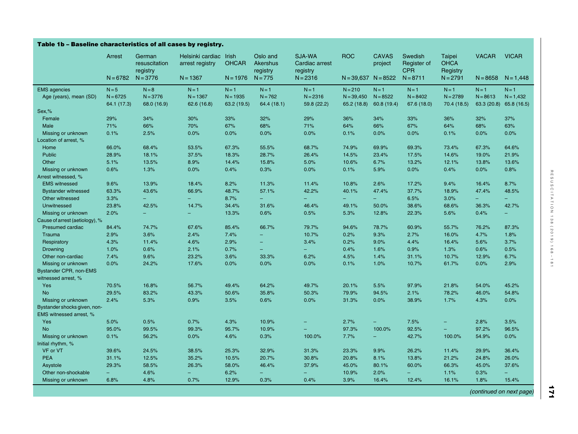<span id="page-3-0"></span>

| Table 1b - Baseline characteristics of all cases by registry. |                                 |                                     |                                                         |                            |                                               |                                                    |                            |                                       |                                                    |                                                 |                            |                             |
|---------------------------------------------------------------|---------------------------------|-------------------------------------|---------------------------------------------------------|----------------------------|-----------------------------------------------|----------------------------------------------------|----------------------------|---------------------------------------|----------------------------------------------------|-------------------------------------------------|----------------------------|-----------------------------|
|                                                               | Arrest<br>$N = 6782$ $N = 3776$ | German<br>resuscitation<br>registry | Helsinki cardiac Irish<br>arrest registry<br>$N = 1367$ | <b>OHCAR</b><br>$N = 1976$ | Oslo and<br>Akershus<br>registry<br>$N = 775$ | SJA-WA<br>Cardiac arrest<br>registry<br>$N = 2316$ | <b>ROC</b><br>$N = 39,637$ | <b>CAVAS</b><br>project<br>$N = 8522$ | Swedish<br>Register of<br><b>CPR</b><br>$N = 8711$ | Taipei<br><b>OHCA</b><br>Registry<br>$N = 2791$ | <b>VACAR</b><br>$N = 8658$ | <b>VICAR</b><br>$N = 1,448$ |
|                                                               |                                 |                                     |                                                         |                            |                                               |                                                    |                            |                                       |                                                    |                                                 |                            |                             |
| <b>EMS</b> agencies                                           | $N = 5$                         | $N = 8$                             | $N = 1$                                                 | $N = 1$<br>$N = 1935$      | $N = 1$<br>$N = 762$                          | $N = 1$                                            | $N = 210$                  | $N = 1$<br>$N = 8522$                 | $N = 1$                                            | $N = 1$                                         | $N = 1$<br>$N = 8613$      | $N = 1$                     |
| Age (years), mean (SD)                                        | $N = 6725$                      | $N = 3776$                          | $N = 1367$                                              |                            |                                               | $N = 2316$                                         | $N = 39,450$               |                                       | $N = 8402$<br>67.6 (18.0)                          | $N = 2789$                                      |                            | $N = 1,432$                 |
| Sex,%                                                         | 64.1 (17.3)                     | 68.0 (16.9)                         | 62.6 (16.8)                                             | 63.2 (19.5)                | 64.4 (18.1)                                   | 59.8 (22.2)                                        | 65.2(18.8)                 | 60.8 (19.4)                           |                                                    | 70.4 (18.5)                                     | 63.3(20.8)                 | 65.8(16.5)                  |
| Female                                                        | 29%                             | 34%                                 | 30%                                                     | 33%                        | 32%                                           | 29%                                                | 36%                        | 34%                                   | 33%                                                | 36%                                             | 32%                        | 37%                         |
| Male                                                          | 71%                             | 66%                                 | 70%                                                     | 67%                        | 68%                                           | 71%                                                | 64%                        | 66%                                   | 67%                                                | 64%                                             | 68%                        | 63%                         |
| Missing or unknown                                            | 0.1%                            | 2.5%                                | 0.0%                                                    | 0.0%                       | 0.0%                                          | 0.0%                                               | 0.1%                       | 0.0%                                  | 0.0%                                               | 0.1%                                            | 0.0%                       | 0.0%                        |
| Location of arrest, %                                         |                                 |                                     |                                                         |                            |                                               |                                                    |                            |                                       |                                                    |                                                 |                            |                             |
| Home                                                          | 66.0%                           | 68.4%                               | 53.5%                                                   | 67.3%                      | 55.5%                                         | 68.7%                                              | 74.9%                      | 69.9%                                 | 69.3%                                              | 73.4%                                           | 67.3%                      | 64.6%                       |
| Public                                                        | 28.9%                           | 18.1%                               | 37.5%                                                   | 18.3%                      | 28.7%                                         | 26.4%                                              | 14.5%                      | 23.4%                                 | 17.5%                                              | 14.6%                                           | 19.0%                      | 21.9%                       |
| Other                                                         | 5.1%                            | 13.5%                               | 8.9%                                                    | 14.4%                      | 15.8%                                         | 5.0%                                               | 10.6%                      | 6.7%                                  | 13.2%                                              | 12.1%                                           | 13.8%                      | 13.6%                       |
| Missing or unknown                                            | 0.6%                            | 1.3%                                | 0.0%                                                    | 0.4%                       | 0.3%                                          | 0.0%                                               | 0.1%                       | 5.9%                                  | 0.0%                                               | 0.4%                                            | 0.0%                       | 0.8%                        |
| Arrest witnessed, %                                           |                                 |                                     |                                                         |                            |                                               |                                                    |                            |                                       |                                                    |                                                 |                            |                             |
| <b>EMS</b> witnessed                                          | 9.6%                            | 13.9%                               | 18.4%                                                   | 8.2%                       | 11.3%                                         | 11.4%                                              | 10.8%                      | 2.6%                                  | 17.2%                                              | 9.4%                                            | 16.4%                      | 8.7%                        |
| <b>Bystander witnessed</b>                                    | 63.3%                           | 43.6%                               | 66.9%                                                   | 48.7%                      | 57.1%                                         | 42.2%                                              | 40.1%                      | 47.4%                                 | 37.7%                                              | 18.9%                                           | 47.4%                      | 48.5%                       |
| Other witnessed                                               | 3.3%                            |                                     |                                                         | 8.7%                       |                                               |                                                    |                            |                                       | 6.5%                                               | 3.0%                                            | $\overline{\phantom{0}}$   |                             |
| Unwitnessed                                                   |                                 | 42.5%                               | 14.7%                                                   |                            | 31.6%                                         | 46.4%                                              | 49.1%                      | 50.0%                                 |                                                    |                                                 |                            | 42.7%                       |
|                                                               | 23.8%<br>2.0%                   |                                     |                                                         | 34.4%<br>13.3%             | 0.6%                                          | 0.5%                                               | 5.3%                       | 12.8%                                 | 38.6%<br>22.3%                                     | 68.6%<br>5.6%                                   | 36.3%<br>0.4%              |                             |
| Missing or unknown                                            |                                 |                                     |                                                         |                            |                                               |                                                    |                            |                                       |                                                    |                                                 |                            |                             |
| Cause of arrest (aetiology), %                                |                                 |                                     |                                                         |                            | 66.7%                                         |                                                    |                            |                                       |                                                    |                                                 |                            |                             |
| Presumed cardiac<br>Trauma                                    | 84.4%<br>2.9%                   | 74.7%<br>3.6%                       | 67.6%                                                   | 85.4%                      | $\overline{\phantom{0}}$                      | 79.7%<br>10.7%                                     | 94.6%<br>0.2%              | 78.7%                                 | 60.9%                                              | 55.7%                                           | 76.2%                      | 87.3%<br>1.8%               |
|                                                               |                                 |                                     | 2.4%                                                    | 7.4%<br>2.9%               |                                               |                                                    | 0.2%                       | 9.3%                                  | 2.7%                                               | 16.0%                                           | 4.7%                       |                             |
| Respiratory                                                   | 4.3%<br>1.0%                    | 11.4%                               | 4.6%<br>2.1%                                            |                            | -                                             | 3.4%                                               | 0.4%                       | 9.0%<br>1.6%                          | 4.4%<br>0.9%                                       | 16.4%                                           | 5.6%<br>0.6%               | 3.7%<br>0.5%                |
| Drowning                                                      |                                 | 0.6%                                |                                                         | 0.7%                       |                                               |                                                    |                            |                                       |                                                    | 1.3%                                            |                            |                             |
| Other non-cardiac                                             | 7.4%<br>0.0%                    | 9.6%                                | 23.2%                                                   | 3.6%                       | 33.3%                                         | 6.2%                                               | 4.5%<br>0.1%               | 1.4%<br>1.0%                          | 31.1%<br>10.7%                                     | 10.7%                                           | 12.9%<br>0.0%              | 6.7%                        |
| Missing or unknown                                            |                                 | 24.2%                               | 17.6%                                                   | 0.0%                       | 0.0%                                          | 0.0%                                               |                            |                                       |                                                    | 61.7%                                           |                            | 2.9%                        |
| <b>Bystander CPR, non-EMS</b>                                 |                                 |                                     |                                                         |                            |                                               |                                                    |                            |                                       |                                                    |                                                 |                            |                             |
| witnessed arrest, %                                           |                                 |                                     |                                                         |                            |                                               |                                                    |                            |                                       |                                                    |                                                 |                            |                             |
| Yes                                                           | 70.5%                           | 16.8%                               | 56.7%                                                   | 49.4%                      | 64.2%                                         | 49.7%                                              | 20.1%                      | 5.5%                                  | 97.9%                                              | 21.8%                                           | 54.0%                      | 45.2%                       |
| <b>No</b>                                                     | 29.5%                           | 83.2%                               | 43.3%                                                   | 50.6%                      | 35.8%                                         | 50.3%                                              | 79.9%                      | 94.5%                                 | 2.1%                                               | 78.2%                                           | 46.0%                      | 54.8%                       |
| Missing or unknown                                            | 2.4%                            | 5.3%                                | 0.9%                                                    | 3.5%                       | 0.6%                                          | 0.0%                                               | 31.3%                      | 0.0%                                  | 38.9%                                              | 1.7%                                            | 4.3%                       | 0.0%                        |
| Bystander shocks given, non-                                  |                                 |                                     |                                                         |                            |                                               |                                                    |                            |                                       |                                                    |                                                 |                            |                             |
| EMS witnessed arrest, %                                       |                                 |                                     |                                                         |                            |                                               |                                                    |                            |                                       |                                                    |                                                 |                            |                             |
| Yes                                                           | 5.0%                            | 0.5%                                | 0.7%                                                    | 4.3%                       | 10.9%                                         |                                                    | 2.7%                       |                                       | 7.5%                                               | $\equiv$                                        | 2.8%                       | 3.5%                        |
| <b>No</b>                                                     | 95.0%                           | 99.5%                               | 99.3%                                                   | 95.7%                      | 10.9%                                         |                                                    | 97.3%                      | 100.0%                                | 92.5%                                              | $\equiv$                                        | 97.2%                      | 96.5%                       |
| Missing or unknown                                            | 0.1%                            | 56.2%                               | 0.0%                                                    | 4.6%                       | 0.3%                                          | 100.0%                                             | 7.7%                       | $\equiv$                              | 42.7%                                              | 100.0%                                          | 54.9%                      | 0.0%                        |
| Initial rhythm, %                                             |                                 |                                     |                                                         |                            |                                               |                                                    |                            |                                       |                                                    |                                                 |                            |                             |
| VF or VT                                                      | 39.6%                           | 24.5%                               | 38.5%                                                   | 25.3%                      | 32.9%                                         | 31.3%                                              | 23.3%                      | 9.9%                                  | 26.2%                                              | 11.4%                                           | 29.9%                      | 36.4%                       |
| <b>PEA</b>                                                    | 31.1%                           | 12.5%                               | 35.2%                                                   | 10.5%                      | 20.7%                                         | 30.8%                                              | 20.8%                      | 8.1%                                  | 13.8%                                              | 21.2%                                           | 24.8%                      | 26.0%                       |
| Asystole                                                      | 29.3%                           | 58.5%                               | 26.3%                                                   | 58.0%                      | 46.4%                                         | 37.9%                                              | 45.0%                      | 80.1%                                 | 60.0%                                              | 66.3%                                           | 45.0%                      | 37.6%                       |
| Other non-shockable                                           | -                               | 4.6%                                |                                                         | 6.2%                       |                                               |                                                    | 10.9%                      | 2.0%                                  |                                                    | 1.1%                                            | 0.3%                       |                             |
| Missing or unknown                                            | 6.8%                            | 4.8%                                | 0.7%                                                    | 12.9%                      | 0.3%                                          | 0.4%                                               | 3.9%                       | 16.4%                                 | 12.4%                                              | 16.1%                                           | 1.8%                       | 15.4%                       |
|                                                               |                                 |                                     |                                                         |                            |                                               |                                                    |                            |                                       |                                                    |                                                 |                            | (continued on next page)    |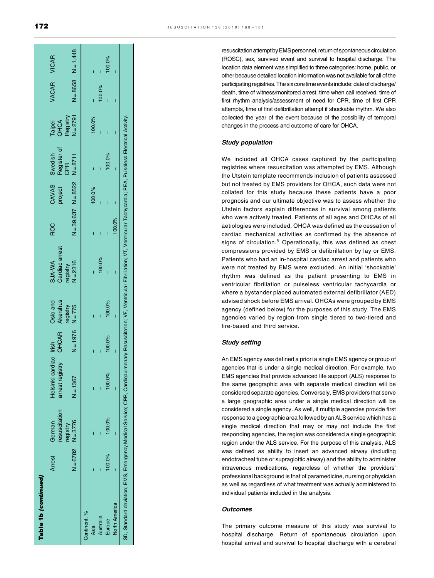resuscitation attempt by EMS personnel, return of spontaneous circulation (ROSC), sex, survived event and survival to hospital discharge. The location data element was simplified to three categories: home, public, or other because detailed location information was not available for all of the participating registries. The six core time events include: date of discharge/ death, time of witness/monitored arrest, time when call received, time of first rhythm analysis/assessment of need for CPR, time of first CPR attempts, time of first defibrillation attempt if shockable rhythm. We also collected the year of the event because of the possibility of temporal changes in the process and outcome of care for OHCA.

### Study population

We included all OHCA cases captured by the participating registries where resuscitation was attempted by EMS. Although the Utstein template recommends inclusion of patients assessed but not treated by EMS providers for OHCA, such data were not collated for this study because these patients have a poor prognosis and our ultimate objective was to assess whether the Utstein factors explain differences in survival among patients who were actively treated. Patients of all ages and OHCAs of all aetiologies were included. OHCA was defined as the cessation of cardiac mechanical activities as confirmed by the absence of signs of circulation.<sup>[8](#page-13-0)</sup> Operationally, this was defined as chest compressions provided by EMS or defibrillation by lay or EMS. Patients who had an in-hospital cardiac arrest and patients who were not treated by EMS were excluded. An initial 'shockable ' rhythm was defined as the patient presenting to EMS in ventricular fibrillation or pulseless ventricular tachycardia or where a bystander placed automated external defibrillator (AED) advised shock before EMS arrival. OHCAs were grouped by EMS agency (defined below) for the purposes of this study. The EMS agencies varied by region from single tiered to two-tiered and fire-based and third service.

### Study setting

An EMS agency was defined a priori a single EMS agency or group of agencies that is under a single medical direction. For example, two EMS agencies that provide advanced life support (ALS) response to the same geographic area with separate medical direction will be considered separate agencies. Conversely, EMS providers that serve a large geographic area under a single medical direction will be considered a single agency. As well, if multiple agencies provide first response to a geographic area followed by an ALS service which has a single medical direction that may or may not include the first responding agencies, the region was considered a single geographic region under the ALS service. For the purpose of this analysis, ALS was defined as ability to insert an advanced airway (including endotracheal tube or supraglottic airway) and the ability to administer intravenous medications, regardless of whether the providers ' professional background is that of paramedicine, nursing or physician as well as regardless of what treatment was actually administered to individual patients included in the analysis.

### **Outcomes**

The primary outcome measure of this study was survival to hospital discharge. Return of spontaneous circulation upon hospital arrival and survival to hospital discharge with a cerebral

| Table 1b (continued)                                                                                                                                                                     |               |                       |                        |                      |          |                |                                    |         |             |                            |                        |        |
|------------------------------------------------------------------------------------------------------------------------------------------------------------------------------------------|---------------|-----------------------|------------------------|----------------------|----------|----------------|------------------------------------|---------|-------------|----------------------------|------------------------|--------|
|                                                                                                                                                                                          | <b>Arrest</b> | German                | Helsinki cardiac Irish |                      | Oslo and | <b>SJA-WA</b>  | ROC                                | CAVAS   | Swedish     |                            | VACAR VICAR            |        |
|                                                                                                                                                                                          |               | resuscitation         | arrest registry OHCAR  |                      | Akershus | Cardiac arrest |                                    | project | Register of | Taipei<br>OHCA<br>Registry |                        |        |
|                                                                                                                                                                                          |               | registry              |                        |                      | registry | registry       |                                    |         | <b>CPR</b>  |                            |                        |        |
|                                                                                                                                                                                          |               | $N = 6782$ $N = 3776$ | $N = 1367$             | $N = 1976$ $N = 775$ |          | $N = 2316$     | $N = 39,637$ $N = 8522$ $N = 8711$ |         |             | $N = 2791$                 | $N = 8658$ $N = 1.448$ |        |
| Continent, %                                                                                                                                                                             |               |                       |                        |                      |          |                |                                    |         |             |                            |                        |        |
| Asia                                                                                                                                                                                     |               |                       |                        |                      |          |                |                                    | 100.0%  |             | 100.0%                     |                        |        |
| Australia                                                                                                                                                                                |               |                       |                        |                      |          | 100.0%         |                                    |         |             |                            | 100.0%                 |        |
| Europe                                                                                                                                                                                   | 100.0%        | 100.0%                | 100.0%                 | 100.0%               | 100.0%   |                |                                    |         | 100.0%      |                            |                        | 100.0% |
| North America                                                                                                                                                                            |               |                       |                        |                      |          |                | 100.0%                             |         |             |                            |                        |        |
| SD, Standard deviation; EMS, Emergency Medical Service; CPR, Cardiopulmonary Resuscitation; VF, Ventricular inclitation; VT, Ventricular Tachycardia; PEA, Pulseless Electrical Activity |               |                       |                        |                      |          |                |                                    |         |             |                            |                        |        |

SD, Standard deviation; EMS, Emergency Medical Service; CPR, Cardiopulmonary Resuscitation; VF, Ventricular Tip, Ventricular Tachycardia; PEA, Pulseless Electrical Activity.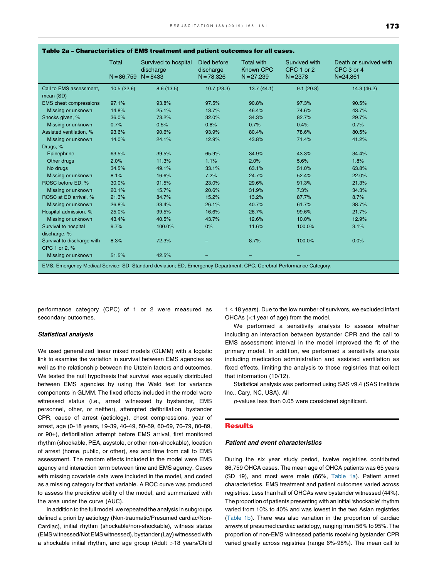|                                                                                                                       | Total<br>$N = 86,759$ | Survived to hospital<br>discharge<br>$N = 8433$ | Died before<br>discharge<br>$N = 78.326$ | <b>Total with</b><br><b>Known CPC</b><br>$N = 27,239$ | Survived with<br>CPC 1 or 2<br>$N = 2378$ | Death or survived with<br>CPC 3 or 4<br>$N = 24,861$ |
|-----------------------------------------------------------------------------------------------------------------------|-----------------------|-------------------------------------------------|------------------------------------------|-------------------------------------------------------|-------------------------------------------|------------------------------------------------------|
| Call to EMS assessment,<br>mean (SD)                                                                                  | 10.5(22.6)            | 8.6(13.5)                                       | 10.7(23.3)                               | 13.7(44.1)                                            | 9.1(20.8)                                 | 14.3(46.2)                                           |
| <b>EMS</b> chest compressions                                                                                         | 97.1%                 | 93.8%                                           | 97.5%                                    | 90.8%                                                 | 97.3%                                     | 90.5%                                                |
| Missing or unknown                                                                                                    | 14.8%                 | 25.1%                                           | 13.7%                                    | 46.4%                                                 | 74.6%                                     | 43.7%                                                |
| Shocks given, %                                                                                                       | 36.0%                 | 73.2%                                           | 32.0%                                    | 34.3%                                                 | 82.7%                                     | 29.7%                                                |
| Missing or unknown                                                                                                    | 0.7%                  | 0.5%                                            | 0.8%                                     | 0.7%                                                  | 0.4%                                      | 0.7%                                                 |
| Assisted ventilation, %                                                                                               | 93.6%                 | 90.6%                                           | 93.9%                                    | 80.4%                                                 | 78.6%                                     | 80.5%                                                |
| Missing or unknown                                                                                                    | 14.0%                 | 24.1%                                           | 12.9%                                    | 43.8%                                                 | 71.4%                                     | 41.2%                                                |
| Drugs, %                                                                                                              |                       |                                                 |                                          |                                                       |                                           |                                                      |
| Epinephrine                                                                                                           | 63.5%                 | 39.5%                                           | 65.9%                                    | 34.9%                                                 | 43.3%                                     | 34.4%                                                |
| Other drugs                                                                                                           | 2.0%                  | 11.3%                                           | 1.1%                                     | 2.0%                                                  | 5.6%                                      | 1.8%                                                 |
| No drugs                                                                                                              | 34.5%                 | 49.1%                                           | 33.1%                                    | 63.1%                                                 | 51.0%                                     | 63.8%                                                |
| Missing or unknown                                                                                                    | 8.1%                  | 16.6%                                           | 7.2%                                     | 24.7%                                                 | 52.4%                                     | 22.0%                                                |
| ROSC before ED, %                                                                                                     | 30.0%                 | 91.5%                                           | 23.0%                                    | 29.6%                                                 | 91.3%                                     | 21.3%                                                |
| Missing or unknown                                                                                                    | 20.1%                 | 15.7%                                           | 20.6%                                    | 31.9%                                                 | 7.3%                                      | 34.3%                                                |
| ROSC at ED arrival, %                                                                                                 | 21.3%                 | 84.7%                                           | 15.2%                                    | 13.2%                                                 | 87.7%                                     | 8.7%                                                 |
| Missing or unknown                                                                                                    | 26.8%                 | 33.4%                                           | 26.1%                                    | 40.7%                                                 | 61.7%                                     | 38.7%                                                |
| Hospital admission, %                                                                                                 | 25.0%                 | 99.5%                                           | 16.6%                                    | 28.7%                                                 | 99.6%                                     | 21.7%                                                |
| Missing or unknown                                                                                                    | 43.4%                 | 40.5%                                           | 43.7%                                    | 12.6%                                                 | 10.0%                                     | 12.9%                                                |
| Survival to hospital<br>discharge, %                                                                                  | 9.7%                  | 100.0%                                          | 0%                                       | 11.6%                                                 | 100.0%                                    | 3.1%                                                 |
| Survival to discharge with<br>CPC 1 or 2, %                                                                           | 8.3%                  | 72.3%                                           |                                          | 8.7%                                                  | 100.0%                                    | 0.0%                                                 |
| Missing or unknown                                                                                                    | 51.5%                 | 42.5%                                           |                                          |                                                       |                                           |                                                      |
| EMS, Emergency Medical Service; SD, Standard deviation; ED, Emergency Department; CPC, Cerebral Performance Category. |                       |                                                 |                                          |                                                       |                                           |                                                      |

<span id="page-5-0"></span>Table 2a – Characteristics of EMS treatment and patient outcomes for all cases.

performance category (CPC) of 1 or 2 were measured as secondary outcomes.

### Statistical analysis

We used generalized linear mixed models (GLMM) with a logistic link to examine the variation in survival between EMS agencies as well as the relationship between the Utstein factors and outcomes. We tested the null hypothesis that survival was equally distributed between EMS agencies by using the Wald test for variance components in GLMM. The fixed effects included in the model were witnessed status (i.e., arrest witnessed by bystander, EMS personnel, other, or neither), attempted defibrillation, bystander CPR, cause of arrest (aetiology), chest compressions, year of arrest, age (0–18 years, 19–39, 40–49, 50–59, 60–69, 70–79, 80–89, or 90+), defibrillation attempt before EMS arrival, first monitored rhythm (shockable, PEA, asystole, or other non-shockable), location of arrest (home, public, or other), sex and time from call to EMS assessment. The random effects included in the model were EMS agency and interaction term between time and EMS agency. Cases with missing covariate data were included in the model, and coded as a missing category for that variable. A ROC curve was produced to assess the predictive ability of the model, and summarized with the area under the curve (AUC).

In addition to the full model, we repeated the analysis in subgroups defined a priori by aetiology (Non-traumatic/Presumed cardiac/Non-Cardiac), initial rhythm (shockable/non-shockable), witness status (EMS witnessed/NotEMS witnessed), bystander(Lay) witnessed with a shockable initial rhythm, and age group (Adult  $>18$  years/Child

 $1 < 18$  years). Due to the low number of survivors, we excluded infant OHCAs  $\left($  < 1 year of age) from the model.

We performed a sensitivity analysis to assess whether including an interaction between bystander CPR and the call to EMS assessment interval in the model improved the fit of the primary model. In addition, we performed a sensitivity analysis including medication administration and assisted ventilation as fixed effects, limiting the analysis to those registries that collect that information (10/12).

Statistical analysis was performed using SAS v9.4 (SAS Institute Inc., Cary, NC, USA). All

p-values less than 0.05 were considered significant.

### Results

### Patient and event characteristics

During the six year study period, twelve registries contributed 86,759 OHCA cases. The mean age of OHCA patients was 65 years (SD 19), and most were male (66%, [Table](#page-2-0) 1a). Patient arrest characteristics, EMS treatment and patient outcomes varied across registries. Less than half of OHCAs were bystander witnessed (44%). The proportion of patients presenting with an initial 'shockable' rhythm varied from 10% to 40% and was lowest in the two Asian registries ([Table](#page-3-0) 1b). There was also variation in the proportion of cardiac arrests of presumed cardiac aetiology, ranging from 56% to 95%. The proportion of non-EMS witnessed patients receiving bystander CPR varied greatly across registries (range 6%–98%). The mean call to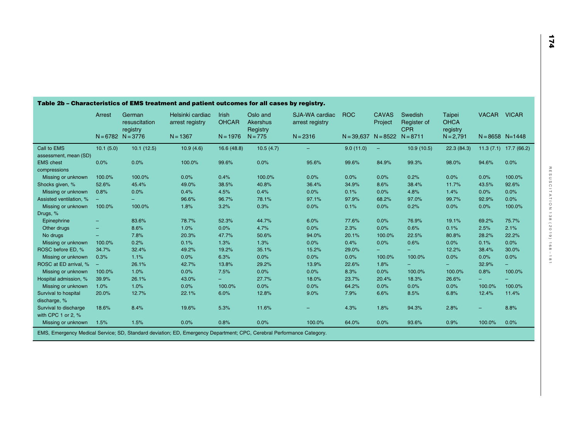|                                                                                                                       | Arrest                   | German<br>resuscitation<br>registry | Helsinki cardiac<br>arrest registry | <b>Irish</b><br><b>OHCAR</b> | Oslo and<br>Akershus<br>Registry | SJA-WA cardiac<br>arrest registry | <b>ROC</b>              | <b>CAVAS</b><br>Project | Swedish<br>Register of<br><b>CPR</b> | Taipei<br><b>OHCA</b><br>registry | VACAR VICAR |                         |
|-----------------------------------------------------------------------------------------------------------------------|--------------------------|-------------------------------------|-------------------------------------|------------------------------|----------------------------------|-----------------------------------|-------------------------|-------------------------|--------------------------------------|-----------------------------------|-------------|-------------------------|
|                                                                                                                       |                          | $N = 6782$ $N = 3776$               | $N = 1367$                          | $N = 1976$                   | $N = 775$                        | $N = 2316$                        | $N = 39,637$ $N = 8522$ |                         | $N = 8711$                           | $N = 2,791$                       |             | $N = 8658$ $N = 1448$   |
| Call to EMS                                                                                                           | 10.1(5.0)                | 10.1(12.5)                          | 10.9(4.6)                           | 16.6(48.8)                   | 10.5(4.7)                        |                                   | 9.0(11.0)               | $\qquad \qquad -$       | 10.9(10.5)                           | 22.3 (84.3)                       |             | $11.3(7.1)$ 17.7 (66.2) |
| assessment, mean (SD)                                                                                                 |                          |                                     |                                     |                              |                                  |                                   |                         |                         |                                      |                                   |             |                         |
| <b>EMS</b> chest<br>compressions                                                                                      | 0.0%                     | 0.0%                                | 100.0%                              | 99.6%                        | 0.0%                             | 95.6%                             | 99.6%                   | 84.9%                   | 99.3%                                | 98.0%                             | 94.6%       | 0.0%                    |
| Missing or unknown                                                                                                    | 100.0%                   | 100.0%                              | 0.0%                                | 0.4%                         | 100.0%                           | 0.0%                              | 0.0%                    | 0.0%                    | 0.2%                                 | 0.0%                              | 0.0%        | 100.0%                  |
| Shocks given, %                                                                                                       | 52.6%                    | 45.4%                               | 49.0%                               | 38.5%                        | 40.8%                            | 36.4%                             | 34.9%                   | 8.6%                    | 38.4%                                | 11.7%                             | 43.5%       | 92.6%                   |
| Missing or unknown                                                                                                    | 0.8%                     | 0.0%                                | 0.4%                                | 4.5%                         | 0.4%                             | 0.0%                              | 0.1%                    | 0.0%                    | 4.8%                                 | 1.4%                              | 0.0%        | 0.0%                    |
| Assisted ventilation. %                                                                                               |                          |                                     | 96.6%                               | 96.7%                        | 78.1%                            | 97.1%                             | 97.9%                   | 68.2%                   | 97.0%                                | 99.7%                             | 92.9%       | 0.0%                    |
| Missing or unknown                                                                                                    | 100.0%                   | 100.0%                              | 1.8%                                | 3.2%                         | 0.3%                             | 0.0%                              | 0.1%                    | 0.0%                    | 0.2%                                 | 0.0%                              | 0.0%        | 100.0%                  |
| Drugs, %                                                                                                              |                          |                                     |                                     |                              |                                  |                                   |                         |                         |                                      |                                   |             |                         |
| Epinephrine                                                                                                           |                          | 83.6%                               | 78.7%                               | 52.3%                        | 44.7%                            | 6.0%                              | 77.6%                   | 0.0%                    | 76.9%                                | 19.1%                             | 69.2%       | 75.7%                   |
| Other drugs                                                                                                           | -                        | 8.6%                                | 1.0%                                | 0.0%                         | 4.7%                             | 0.0%                              | 2.3%                    | 0.0%                    | 0.6%                                 | 0.1%                              | 2.5%        | 2.1%                    |
| No drugs                                                                                                              | $\overline{\phantom{0}}$ | 7.8%                                | 20.3%                               | 47.7%                        | 50.6%                            | 94.0%                             | 20.1%                   | 100.0%                  | 22.5%                                | 80.8%                             | 28.2%       | 22.2%                   |
| Missing or unknown                                                                                                    | 100.0%                   | 0.2%                                | 0.1%                                | 1.3%                         | 1.3%                             | 0.0%                              | 0.4%                    | 0.0%                    | 0.6%                                 | 0.0%                              | 0.1%        | 0.0%                    |
| ROSC before ED, %                                                                                                     | 34.7%                    | 32.4%                               | 49.2%                               | 19.2%                        | 35.1%                            | 15.2%                             | 29.0%                   |                         |                                      | 12.2%                             | 38.4%       | 30.0%                   |
| Missing or unknown                                                                                                    | 0.3%                     | 1.1%                                | 0.0%                                | 6.3%                         | 0.0%                             | 0.0%                              | 0.0%                    | 100.0%                  | 100.0%                               | 0.0%                              | 0.0%        | 0.0%                    |
| ROSC at ED arrival. %                                                                                                 | $\equiv$                 | 26.1%                               | 42.7%                               | 13.8%                        | 29.2%                            | 13.9%                             | 22.6%                   | 1.8%                    |                                      | -                                 | 32.9%       |                         |
| Missing or unknown                                                                                                    | 100.0%                   | 1.0%                                | 0.0%                                | 7.5%                         | 0.0%                             | 0.0%                              | 8.3%                    | 0.0%                    | 100.0%                               | 100.0%                            | 0.8%        | 100.0%                  |
| Hospital admission, %                                                                                                 | 39.9%                    | 26.1%                               | 43.0%                               | ÷                            | 27.7%                            | 18.0%                             | 23.7%                   | 20.4%                   | 18.3%                                | 26.6%                             | $\equiv$    |                         |
| Missing or unknown                                                                                                    | 1.0%                     | 1.0%                                | 0.0%                                | 100.0%                       | 0.0%                             | 0.0%                              | 64.2%                   | 0.0%                    | 0.0%                                 | 0.0%                              | 100.0%      | 100.0%                  |
| Survival to hospital                                                                                                  | 20.0%                    | 12.7%                               | 22.1%                               | 6.0%                         | 12.8%                            | 9.0%                              | 7.9%                    | 6.6%                    | 8.5%                                 | 6.8%                              | 12.4%       | 11.4%                   |
| discharge, %                                                                                                          |                          |                                     |                                     |                              |                                  |                                   |                         |                         |                                      |                                   |             |                         |
| Survival to discharge                                                                                                 | 18.6%                    | 8.4%                                | 19.6%                               | 5.3%                         | 11.6%                            |                                   | 4.3%                    | 1.8%                    | 94.3%                                | 2.8%                              |             | 8.8%                    |
| with CPC 1 or 2, %                                                                                                    |                          |                                     |                                     |                              |                                  |                                   |                         |                         |                                      |                                   |             |                         |
| Missing or unknown                                                                                                    | 1.5%                     | 1.5%                                | 0.0%                                | 0.8%                         | 0.0%                             | 100.0%                            | 64.0%                   | 0.0%                    | 93.6%                                | 0.9%                              | 100.0%      | 0.0%                    |
| EMS, Emergency Medical Service; SD, Standard deviation; ED, Emergency Department; CPC, Cerebral Performance Category. |                          |                                     |                                     |                              |                                  |                                   |                         |                         |                                      |                                   |             |                         |

## Table 2b – Characteristics of EMS treatment and patient outcomes for all cases by registry.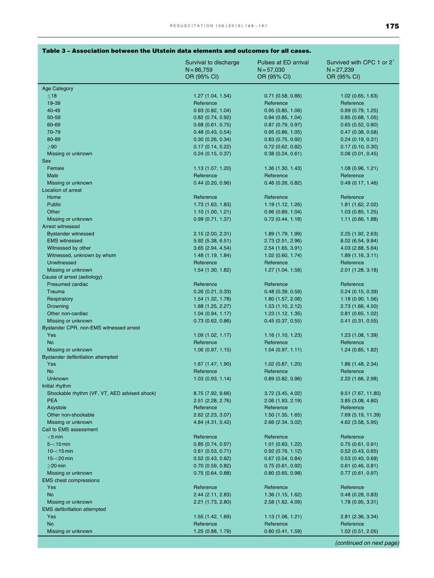<span id="page-7-0"></span>

| Table 3 – Association between the Utstein data elements and outcomes for all cases. |                                       |                                      |                                              |
|-------------------------------------------------------------------------------------|---------------------------------------|--------------------------------------|----------------------------------------------|
|                                                                                     | Survival to discharge<br>$N = 86,759$ | Pulses at ED arrival<br>$N = 57,030$ | Survived with CPC 1 or $2^1$<br>$N = 27,239$ |
|                                                                                     | OR (95% CI)                           | OR (95% CI)                          | OR (95% CI)                                  |
| <b>Age Category</b>                                                                 |                                       |                                      |                                              |
| $≤18$                                                                               | 1.27(1.04, 1.54)                      | $0.71$ $(0.58, 0.86)$                | 1.02(0.65, 1.63)                             |
| 19-39                                                                               | Reference                             | Reference                            | Reference                                    |
| 40-49                                                                               | 0.93(0.82, 1.04)                      | 0.95(0.85, 1.06)                     | 0.99(0.79, 1.25)                             |
| 50-59                                                                               | $0.82$ (0.74, 0.92)                   | 0.94(0.85, 1.04)                     | 0.85(0.68, 1.05)                             |
| 60-69                                                                               | 0.68(0.61, 0.75)                      | 0.87(0.79, 0.97)                     | 0.65(0.52, 0.80)                             |
| 70-79                                                                               | 0.48(0.43, 0.54)                      | 0.95(0.86, 1.05)                     | 0.47(0.38, 0.58)                             |
| 80-89                                                                               | 0.30(0.26, 0.34)                      | 0.83(0.75, 0.92)                     | 0.24(0.19, 0.31)                             |
| $\geq$ 90                                                                           | 0.17(0.14, 0.22)                      | $0.72$ (0.62, 0.82)                  | 0.17(0.10, 0.30)                             |
| Missing or unknown                                                                  | 0.24(0.15, 0.37)                      | 0.38(0.24, 0.61)                     | 0.06(0.01, 0.45)                             |
| <b>Sex</b>                                                                          |                                       |                                      |                                              |
| Female                                                                              | 1.13(1.07, 1.20)                      | 1.36(1.30, 1.43)                     | 1.08(0.96, 1.21)                             |
| Male                                                                                | Reference                             | Reference                            | Reference                                    |
| Missing or unknown                                                                  | 0.44(0.20, 0.96)                      | 0.46(0.26, 0.82)                     | 0.49(0.17, 1.46)                             |
| <b>Location of arrest</b>                                                           |                                       |                                      |                                              |
| Home                                                                                | Reference                             | Reference                            | Reference                                    |
| Public                                                                              | 1.73(1.63, 1.83)                      | 1.19(1.12, 1.26)                     | 1.81(1.62, 2.02)                             |
| Other                                                                               | 1.10(1.00, 1.21)                      | 0.96(0.89, 1.04)                     | 1.03(0.85, 1.25)                             |
| Missing or unknown                                                                  | 0.99(0.71, 1.37)                      | 0.72(0.44, 1.18)                     | 1.11(0.66, 1.88)                             |
| Arrest witnessed                                                                    |                                       |                                      |                                              |
| <b>Bystander witnessed</b>                                                          | 2.15(2.00, 2.31)                      | 1.89 (1.79, 1.99)                    | 2.25(1.92, 2.63)                             |
| <b>EMS</b> witnessed                                                                | 5.92(5.38, 6.51)                      | 2.73 (2.51, 2.96)                    | 8.02 (6.54, 9.84)                            |
| Witnessed by other                                                                  | 3.65(2.94, 4.54)                      | 2.54 (1.65, 3.91)                    | 4.03(2.88, 5.64)                             |
| Witnessed, unknown by whom                                                          | 1.48(1.19, 1.84)                      | 1.02(0.60, 1.74)                     | 1.89(1.16, 3.11)                             |
| <b>Unwitnessed</b>                                                                  | Reference                             | Reference                            | Reference                                    |
| Missing or unknown                                                                  | 1.54(1.30, 1.82)                      | 1.27(1.04, 1.56)                     | 2.01(1.28, 3.18)                             |
| Cause of arrest (aetiology)                                                         |                                       |                                      |                                              |
| <b>Presumed cardiac</b>                                                             | Reference                             | Reference                            | Reference                                    |
| Trauma                                                                              | 0.26(0.21, 0.33)                      | 0.48(0.39, 0.59)                     | 0.24(0.15, 0.39)                             |
| Respiratory                                                                         | 1.54(1.32, 1.78)                      | 1.80(1.57, 2.06)                     | 1.18(0.90, 1.56)                             |
| Drowning                                                                            | 1.68(1.25, 2.27)                      | 1.53(1.10, 2.12)                     | 2.73(1.66, 4.50)                             |
| Other non-cardiac                                                                   | 1.04(0.94, 1.17)                      | 1.23(1.12, 1.35)                     | 0.81(0.65, 1.02)                             |
| Missing or unknown                                                                  | 0.73(0.62, 0.86)                      | 0.45(0.37, 0.55)                     | 0.41(0.31, 0.55)                             |
| Bystander CPR, non-EMS witnessed arrest                                             |                                       |                                      |                                              |
| Yes                                                                                 | 1.09(1.02, 1.17)                      | 1.16(1.10, 1.23)                     | 1.23(1.08, 1.39)                             |
| <b>No</b>                                                                           | Reference                             | Reference                            | Reference                                    |
| Missing or unknown                                                                  | 1.06(0.97, 1.15)                      | 1.04(0.97, 1.11)                     | 1.24(0.85, 1.82)                             |
| <b>Bystander defibrillation attempted</b>                                           |                                       |                                      |                                              |
| Yes                                                                                 | 1.67(1.47, 1.90)                      | 1.02(0.87, 1.20)                     | 1.86 (1.48, 2.34)                            |
| <b>No</b>                                                                           | Reference                             | Reference                            | Reference                                    |
| <b>Unknown</b>                                                                      | 1.03(0.93, 1.14)                      | 0.89(0.82, 0.96)                     | 2.22(1.66, 2.98)                             |
| Initial rhythm                                                                      |                                       |                                      |                                              |
| Shockable rhythm (VF, VT, AED advised shock)                                        | 8.75 (7.92, 9.66)                     | $3.72$ $(3.45, 4.02)$                | 9.51(7.67, 11.80)                            |
| <b>PEA</b>                                                                          |                                       |                                      |                                              |
|                                                                                     | $2.51$ (2.28, 2.76)                   | 2.06(1.93, 2.19)                     | 3.85(3.08, 4.80)                             |
| Asystole                                                                            | Reference                             | Reference                            | Reference                                    |
| Other non-shockable                                                                 | $2.62$ (2.23, 3.07)                   | 1.50(1.35, 1.65)                     | 7.69 (5.19, 11.39)                           |
| Missing or unknown                                                                  | 4.84 (4.31, 5.42)                     | $2.66$ (2.34, 3.02)                  | $4.62$ (3.58, 5.95)                          |
| Call to EMS assessment                                                              | Reference                             |                                      |                                              |
| $<$ 5 min                                                                           |                                       | Reference                            | Reference                                    |
| $5 - 10$ min                                                                        | 0.85(0.74, 0.97)                      | 1.01(0.83, 1.22)                     | 0.75(0.61, 0.91)                             |
| $10 - 15$ min                                                                       | $0.61$ (0.53, 0.71)                   | 0.92(0.76, 1.12)                     | 0.52(0.43, 0.65)                             |
| $15 - 20$ min                                                                       | 0.52(0.43, 0.62)                      | 0.67(0.54, 0.84)                     | 0.53(0.40, 0.69)                             |
| $\geq$ 20 min                                                                       | 0.70(0.59, 0.82)                      | 0.75(0.61, 0.92)                     | 0.61(0.46, 0.81)                             |
| Missing or unknown                                                                  | 0.75(0.64, 0.88)                      | 0.80(0.65, 0.98)                     | 0.77(0.61, 0.97)                             |
| <b>EMS</b> chest compressions                                                       |                                       |                                      |                                              |
| Yes                                                                                 | Reference                             | Reference                            | Reference                                    |
| <b>No</b>                                                                           | 2.44 (2.11, 2.83)                     | 1.36(1.15, 1.62)                     | 0.48(0.28, 0.83)                             |
| Missing or unknown                                                                  | 2.21 (1.73, 2.80)                     | 2.58 (1.62, 4.09)                    | 1.78 (0.95, 3.31)                            |
| <b>EMS</b> defibrillation attempted                                                 |                                       |                                      |                                              |
| Yes                                                                                 | 1.55(1.42, 1.69)                      | 1.13(1.06, 1.21)                     | $2.81$ (2.36, 3.34)                          |
| <b>No</b>                                                                           | Reference                             | Reference                            | Reference                                    |
| Missing or unknown                                                                  | 1.25(0.88, 1.79)                      | 0.80(0.41, 1.59)                     | 1.02(0.51, 2.05)                             |

(continued on next page)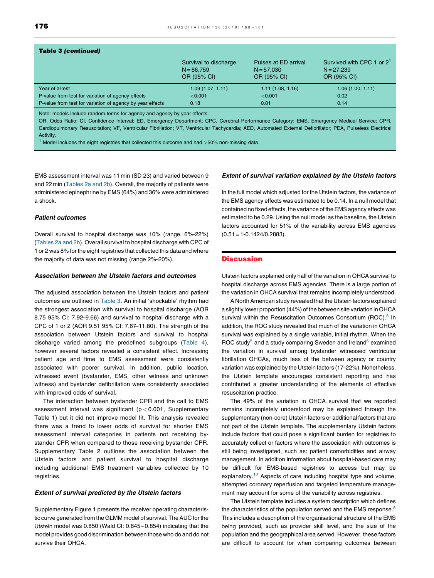<span id="page-8-0"></span>

| Pulses at ED arrival        | Survived with CPC 1 or $2^1$ |
|-----------------------------|------------------------------|
| $N = 57.030$<br>OR (95% CI) | $N = 27.239$<br>OR (95% CI)  |
| 1.11(1.08, 1.16)            | 1.06(1.00, 1.11)             |
| < 0.001                     | 0.02                         |
| 0.01                        | 0.14                         |
|                             |                              |

Note: models include random terms for agency and agency by year effects.

OR, Odds Ratio; CI, Confidence Interval; ED, Emergency Department; CPC, Cerebral Performance Category; EMS, Emergency Medical Service; CPR, Cardiopulmonary Resuscitation; VF, Ventricular Fibrillation; VT, Ventricular Tachycardia; AED, Automated External Defibrillator; PEA, Pulseless Electrical Activity.

Model includes the eight registries that collected this outcome and had >50% non-missing data.

EMS assessment interval was 11 min (SD 23) and varied between 9 and 22 min [\(Tables](#page-5-0) 2a and 2b). Overall, the majority of patients were administered epinephrine by EMS (64%) and 36% were administered a shock.

### Patient outcomes

Overall survival to hospital discharge was 10% (range, 6%–22%) ([Tables](#page-5-0) 2a and 2b). Overall survival to hospital discharge with CPC of 1 or 2 was 8% for the eight registries that collected this data and where the majority of data was not missing (range 2%–20%).

### Association between the Utstein factors and outcomes

The adjusted association between the Utstein factors and patient outcomes are outlined in [Table](#page-7-0) 3. An initial 'shockable' rhythm had the strongest association with survival to hospital discharge (AOR 8.75 95% CI: 7.92–9.66) and survival to hospital discharge with a CPC of 1 or 2 (AOR 9.51 95% CI: 7.67–11.80). The strength of the association between Utstein factors and survival to hospital discharge varied among the predefined subgroups [\(Table](#page-9-0) 4), however several factors revealed a consistent effect. Increasing patient age and time to EMS assessment were consistently associated with poorer survival. In addition, public location, witnessed event (bystander, EMS, other witness and unknown witness) and bystander defibrillation were consistently associated with improved odds of survival.

The interaction between bystander CPR and the call to EMS assessment interval was significant ( $p < 0.001$ , Supplementary Table 1) but it did not improve model fit. This analysis revealed there was a trend to lower odds of survival for shorter EMS assessment interval categories in patients not receiving bystander CPR when compared to those receiving bystander CPR. Supplementary Table 2 outlines the association between the Utstein factors and patient survival to hospital discharge including additional EMS treatment variables collected by 10 registries.

### Extent of survival predicted by the Utstein factors

Supplementary Figure 1 presents the receiver operating characteristic curve generated from the GLMM model of survival. The AUC for the Utstein model was  $0.850$  (Wald CI:  $0.845-0.854$ ) indicating that the model provides good discrimination between those who do and do not survive their OHCA

### Extent of survival variation explained by the Utstein factors

In the full model which adjusted for the Utstein factors, the variance of the EMS agency effects was estimated to be 0.14. In a null model that contained no fixed effects, the variance of the EMS agency effects was estimated to be 0.29. Using the null model as the baseline, the Utstein factors accounted for 51% of the variability across EMS agencies  $(0.51 = 1 - 0.1424/0.2883)$ .

### **Discussion**

Utstein factors explained only half of the variation in OHCA survival to hospital discharge across EMS agencies. There is a large portion of the variation in OHCA survival that remains incompletely understood.

A NorthAmerican study revealed that the Utstein factors explained a slightly lower proportion (44%) of the between site variation in OHCA survival within the Resuscitation Outcomes Consortium (ROC).<sup>5</sup> In addition, the ROC study revealed that much of the variation in OHCA survival was explained by a single variable, initial rhythm. When the ROC study $5$  and a study comparing Sweden and Ireland $6$  examined the variation in survival among bystander witnessed ventricular fibrillation OHCAs, much less of the between agency or country variation was explained by the Utstein factors (17–22%). Nonetheless, the Utstein template encourages consistent reporting and has contributed a greater understanding of the elements of effective resuscitation practice.

The 49% of the variation in OHCA survival that we reported remains incompletely understood may be explained through the supplementary (non-core) Utstein factors or additional factors that are not part of the Utstein template. The supplementary Utstein factors include factors that could pose a significant burden for registries to accurately collect or factors where the association with outcomes is still being investigated, such as: patient comorbidities and airway management. In addition information about hospital-based care may be difficult for EMS-based registries to access but may be explanatory.<sup>[10](#page-13-0)</sup> Aspects of care including hospital type and volume, attempted coronary reperfusion and targeted temperature management may account for some of the variability across registries.

The Utstein template includes a system description which defines the characteristics of the population served and the EMS response.<sup>[8](#page-13-0)</sup> This includes a description of the organisational structure of the EMS being provided, such as provider skill level, and the size of the population and the geographical area served. However, these factors are difficult to account for when comparing outcomes between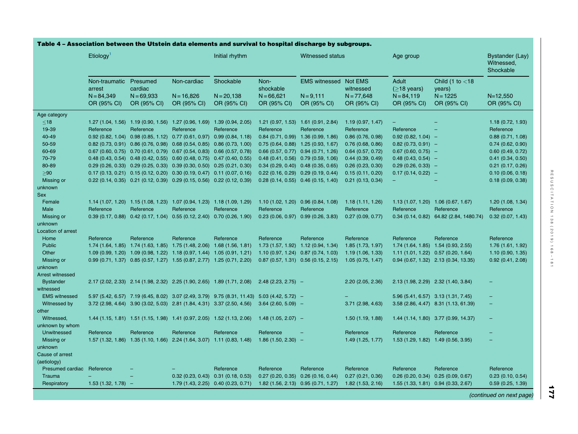<span id="page-9-0"></span>

|                            | Etiology                                |                                        |                                                                                 | Initial rhythm                                                                               |                                   | <b>Witnessed status</b>                     |                           | Age group                                      |                                            | Bystander (Lay)<br>Witnessed,<br>Shockable |
|----------------------------|-----------------------------------------|----------------------------------------|---------------------------------------------------------------------------------|----------------------------------------------------------------------------------------------|-----------------------------------|---------------------------------------------|---------------------------|------------------------------------------------|--------------------------------------------|--------------------------------------------|
|                            | Non-traumatic<br>arrest<br>$N = 84,349$ | Presumed<br>cardiac<br>$N = 69,933$    | Non-cardiac<br>$N = 16,826$                                                     | Shockable<br>$N = 20,138$                                                                    | Non-<br>shockable<br>$N = 66,621$ | <b>EMS witnessed Not EMS</b><br>$N = 9,111$ | witnessed<br>$N = 77,648$ | Adult<br>$(≥18 \text{ years})$<br>$N = 84,119$ | Child (1 to $<$ 18<br>years)<br>$N = 1225$ | $N = 12,550$                               |
|                            | OR (95% CI)                             | OR (95% CI)                            | OR (95% CI)                                                                     | OR (95% CI)                                                                                  | OR (95% CI)                       | OR (95% CI)                                 | OR (95% CI)               | OR (95% CI)                                    | OR (95% CI)                                | OR (95% CI)                                |
| Age category               |                                         |                                        |                                                                                 |                                                                                              |                                   |                                             |                           |                                                |                                            |                                            |
| $≤18$                      |                                         |                                        | 1.27 (1.04, 1.56) 1.19 (0.90, 1.56) 1.27 (0.96, 1.69) 1.39 (0.94, 2.05)         |                                                                                              | 1.21(0.97, 1.53)                  | 1.61(0.91, 2.84)                            | 1.19(0.97, 1.47)          |                                                |                                            | 1.18 (0.72, 1.93)                          |
| 19-39                      | Reference                               | Reference                              | Reference                                                                       | Reference                                                                                    | Reference                         | Reference                                   | Reference                 | Reference                                      |                                            | Reference                                  |
| 40-49                      |                                         | $0.92(0.82, 1.04)$ 0.98 $(0.85, 1.12)$ | 0.77(0.61, 0.97)                                                                | 0.99(0.84, 1.18)                                                                             |                                   | $0.84$ (0.71, 0.99) 1.36 (0.99, 1.86)       | 0.86(0.76, 0.98)          | $0.92(0.82, 1.04) -$                           |                                            | 0.88(0.71, 1.08)                           |
| 50-59                      |                                         | $0.82$ (0.73, 0.91) 0.86 (0.76, 0.98)  | 0.68(0.54, 0.85)                                                                | 0.86(0.73, 1.00)                                                                             |                                   | $0.75(0.64, 0.88)$ 1.25 $(0.93, 1.67)$      | 0.76(0.68, 0.86)          | $0.82(0.73, 0.91) -$                           |                                            | 0.74(0.62, 0.90)                           |
| 60-69                      |                                         |                                        | $0.67$ (0.60, 0.75) $0.70$ (0.61, 0.79) $0.67$ (0.54, 0.83)                     | 0.66(0.57, 0.78)                                                                             |                                   | $0.66$ (0.57, 0.77) $0.94$ (0.71, 1.26)     | $0.64$ (0.57, 0.72)       | $0.67(0.60, 0.75) -$                           |                                            | 0.60(0.49, 0.72)                           |
| 70-79                      |                                         |                                        | 0.48 (0.43, 0.54) 0.48 (0.42, 0.55) 0.60 (0.48, 0.75) 0.47 (0.40, 0.55)         |                                                                                              |                                   | $0.48(0.41, 0.56)$ 0.79 (0.59, 1.06)        | 0.44(0.39, 0.49)          | $0.48(0.43, 0.54) -$                           |                                            | 0.41(0.34, 0.50)                           |
| 80-89                      |                                         |                                        | 0.29 (0.26, 0.33) 0.29 (0.25, 0.33) 0.39 (0.30, 0.50) 0.25 (0.21, 0.30)         |                                                                                              |                                   | $0.34$ (0.29, 0.40) 0.48 (0.35, 0.65)       | 0.26(0.23, 0.30)          | $0.29(0.26, 0.33) -$                           |                                            | $0.21$ (0.17, 0.26)                        |
| $> 90$                     |                                         |                                        | $0.17$ (0.13, 0.21) $0.15$ (0.12, 0.20) $0.30$ (0.19, 0.47) $0.11$ (0.07, 0.16) |                                                                                              |                                   | $0.22$ (0.16, 0.29) $0.29$ (0.19, 0.44)     | 0.15(0.11, 0.20)          | $0.17(0.14, 0.22) -$                           |                                            | 0.10(0.06, 0.18)                           |
| <b>Missing or</b>          |                                         |                                        | 0.22 (0.14, 0.35) 0.21 (0.12, 0.39) 0.29 (0.15, 0.56) 0.22 (0.12, 0.39)         |                                                                                              |                                   | $0.28$ (0.14, 0.55) 0.46 (0.15, 1.40)       | 0.21(0.13, 0.34)          |                                                |                                            | 0.18(0.09, 0.38)                           |
| unknown                    |                                         |                                        |                                                                                 |                                                                                              |                                   |                                             |                           |                                                |                                            |                                            |
| <b>Sex</b>                 |                                         |                                        |                                                                                 |                                                                                              |                                   |                                             |                           |                                                |                                            |                                            |
| Female                     |                                         |                                        | 1.14 (1.07, 1.20) 1.15 (1.08, 1.23) 1.07 (0.94, 1.23) 1.18 (1.09, 1.29)         |                                                                                              |                                   | 1.10 (1.02, 1.20) 0.96 (0.84, 1.08)         | 1.18(1.11, 1.26)          |                                                | 1.13 (1.07, 1.20) 1.06 (0.67, 1.67)        | 1.20(1.08, 1.34)                           |
| Male                       | Reference                               | Reference                              | Reference                                                                       | Reference                                                                                    | Reference                         | Reference                                   | Reference                 | Reference                                      | Reference                                  | Reference                                  |
| Missing or                 | 0.39(0.17, 0.88)                        |                                        | $0.42$ (0.17, 1.04) $0.55$ (0.12, 2.40)                                         | 0.70(0.26, 1.90)                                                                             | 0.23(0.06, 0.97)                  | 0.99(0.26, 3.83)                            | 0.27(0.09, 0.77)          |                                                | 0.34 (0.14, 0.82) 64.82 (2.84, 1480.74)    | 0.32(0.07, 1.43)                           |
| unknown                    |                                         |                                        |                                                                                 |                                                                                              |                                   |                                             |                           |                                                |                                            |                                            |
| <b>Location of arrest</b>  |                                         |                                        |                                                                                 |                                                                                              |                                   |                                             |                           |                                                |                                            |                                            |
| Home                       | Reference                               | Reference                              | Reference                                                                       | Reference                                                                                    | Reference                         | Reference                                   | Reference                 | Reference                                      | Reference                                  | Reference                                  |
| Public                     |                                         |                                        | 1.74 (1.64, 1.85) 1.74 (1.63, 1.85) 1.75 (1.48, 2.06) 1.68 (1.56, 1.81)         |                                                                                              | 1.73(1.57, 1.92)                  | 1.12(0.94, 1.34)                            | 1.85 (1.73, 1.97)         |                                                | 1.74 (1.64, 1.85) 1.54 (0.93, 2.55)        | 1.76 (1.61, 1.92)                          |
| Other                      |                                         |                                        | 1.09 (0.99, 1.20) 1.09 (0.98, 1.22) 1.18 (0.97, 1.44) 1.05 (0.91, 1.21)         |                                                                                              |                                   | 1.10 (0.97, 1.24) 0.87 (0.74, 1.03)         | 1.19(1.06, 1.33)          |                                                | 1.11 (1.01, 1.22) 0.57 (0.20, 1.64)        | 1.10(0.90, 1.35)                           |
| <b>Missing or</b>          |                                         |                                        | 0.99 (0.71, 1.37) 0.85 (0.57, 1.27) 1.55 (0.87, 2.77) 1.25 (0.71, 2.20)         |                                                                                              |                                   | $0.87$ (0.57, 1.31) $0.56$ (0.15, 2.15)     | 1.05(0.75, 1.47)          |                                                | 0.94 (0.67, 1.32) 2.13 (0.34, 13.35)       | 0.92(0.41, 2.08)                           |
| unknown                    |                                         |                                        |                                                                                 |                                                                                              |                                   |                                             |                           |                                                |                                            |                                            |
| Arrest witnessed           |                                         |                                        |                                                                                 |                                                                                              |                                   |                                             |                           |                                                |                                            |                                            |
| <b>Bystander</b>           |                                         |                                        | 2.17 (2.02, 2.33) 2.14 (1.98, 2.32) 2.25 (1.90, 2.65) 1.89 (1.71, 2.08)         |                                                                                              | $2.48(2.23, 2.75) -$              |                                             | 2.20 (2.05, 2.36)         |                                                | 2.13 (1.98, 2.29) 2.32 (1.40, 3.84)        |                                            |
| witnessed                  |                                         |                                        |                                                                                 |                                                                                              |                                   |                                             |                           |                                                |                                            |                                            |
| <b>EMS</b> witnessed       |                                         |                                        |                                                                                 | 5.97 (5.42, 6.57) 7.19 (6.45, 8.02) 3.07 (2.49, 3.79) 9.75 (8.31, 11.43) 5.03 (4.42, 5.72) - |                                   |                                             |                           |                                                | 5.96 (5.41, 6.57) 3.13 (1.31, 7.45)        |                                            |
| Witnessed by               |                                         |                                        | 3.72 (2.98, 4.64) 3.90 (3.02, 5.03) 2.81 (1.84, 4.31) 3.37 (2.50, 4.56)         |                                                                                              | $3.64$ (2.60, 5.09) -             |                                             | 3.71 (2.98, 4.63)         |                                                | 3.58 (2.86, 4.47) 8.31 (1.13, 61.39)       |                                            |
| other                      |                                         |                                        |                                                                                 |                                                                                              |                                   |                                             |                           |                                                |                                            |                                            |
| Witnessed,                 |                                         |                                        | 1.44 (1.15, 1.81) 1.51 (1.15, 1.98) 1.41 (0.97, 2.05) 1.52 (1.13, 2.06)         |                                                                                              | $1.48(1.05, 2.07) -$              |                                             | 1.50(1.19, 1.88)          |                                                | 1.44 (1.14, 1.80) 3.77 (0.99, 14.37)       |                                            |
| unknown by whom            |                                         |                                        |                                                                                 |                                                                                              |                                   |                                             |                           |                                                |                                            |                                            |
| Unwitnessed                | Reference                               | Reference                              | Reference                                                                       | Reference                                                                                    | Reference                         |                                             | Reference                 | Reference                                      | Reference                                  |                                            |
| <b>Missing or</b>          | 1.57(1.32, 1.86)                        | 1.35 (1.10, 1.66)                      | 2.24 (1.64, 3.07) 1.11 (0.83, 1.48)                                             |                                                                                              | 1.86(1.50, 2.30)                  | $\overline{\phantom{a}}$                    | 1.49(1.25, 1.77)          | 1.53(1.29, 1.82)                               | 1.49 (0.56, 3.95)                          |                                            |
| unknown                    |                                         |                                        |                                                                                 |                                                                                              |                                   |                                             |                           |                                                |                                            |                                            |
| Cause of arrest            |                                         |                                        |                                                                                 |                                                                                              |                                   |                                             |                           |                                                |                                            |                                            |
| (aetiology)                |                                         |                                        |                                                                                 |                                                                                              |                                   |                                             |                           |                                                |                                            |                                            |
| Presumed cardiac Reference |                                         |                                        |                                                                                 | Reference                                                                                    | Reference                         | Reference                                   | Reference                 | Reference                                      | Reference                                  | Reference                                  |
| Trauma                     |                                         |                                        | 0.32(0.23, 0.43)                                                                | 0.31(0.18, 0.53)                                                                             | 0.27(0.20, 0.35)                  | 0.26(0.16, 0.44)                            | 0.27(0.21, 0.36)          | 0.26(0.20, 0.34)                               | 0.25(0.09, 0.67)                           | 0.23(0.10, 0.54)                           |
| Respiratory                | $1.53(1.32, 1.78) -$                    |                                        | 1.79 (1.43, 2.25)                                                               | 0.40(0.23, 0.71)                                                                             | 1.82(1.56, 2.13)                  | 0.95(0.71, 1.27)                            | 1.82 (1.53, 2.16)         | 1.55(1.33, 1.81)                               | 0.94(0.33, 2.67)                           | 0.59(0.25, 1.39)                           |

# RESUSCITATION 138 (2019) 168 – 181

177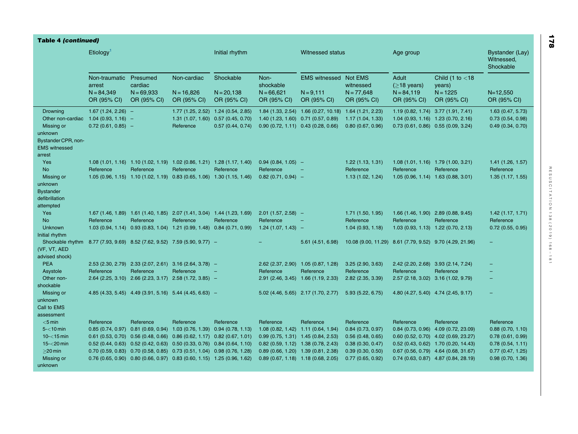| <b>Table 4 (continued)</b>                                                                                      |                                                                      |                                                                                                                                                                                                                          |                                                                                           |                                                                                           |                                                                                                                                       |                                                                                            |                                                                                                               |                                                               |                                                                                                                                                                                                                               |                                                                                                               |
|-----------------------------------------------------------------------------------------------------------------|----------------------------------------------------------------------|--------------------------------------------------------------------------------------------------------------------------------------------------------------------------------------------------------------------------|-------------------------------------------------------------------------------------------|-------------------------------------------------------------------------------------------|---------------------------------------------------------------------------------------------------------------------------------------|--------------------------------------------------------------------------------------------|---------------------------------------------------------------------------------------------------------------|---------------------------------------------------------------|-------------------------------------------------------------------------------------------------------------------------------------------------------------------------------------------------------------------------------|---------------------------------------------------------------------------------------------------------------|
|                                                                                                                 | Etiology                                                             |                                                                                                                                                                                                                          |                                                                                           | Initial rhythm                                                                            |                                                                                                                                       | <b>Witnessed status</b>                                                                    |                                                                                                               | Age group                                                     |                                                                                                                                                                                                                               | Bystander (Lay)<br>Witnessed,<br>Shockable                                                                    |
|                                                                                                                 | Non-traumatic<br>arrest<br>$N = 84,349$<br>OR (95% CI)               | Presumed<br>cardiac<br>$N = 69.933$<br>OR (95% CI)                                                                                                                                                                       | Non-cardiac<br>$N = 16.826$<br>OR (95% CI)                                                | Shockable<br>$N = 20,138$<br>OR (95% CI)                                                  | Non-<br>shockable<br>$N = 66,621$<br>OR (95% CI)                                                                                      | <b>EMS witnessed Not EMS</b><br>$N = 9,111$<br>OR (95% CI)                                 | witnessed<br>$N = 77,648$<br>OR (95% CI)                                                                      | Adult<br>$(≥18 \text{ years})$<br>$N = 84,119$<br>OR (95% CI) | Child $(1 to < 18$<br>years)<br>$N = 1225$<br>OR (95% CI)                                                                                                                                                                     | $N = 12,550$<br>OR (95% CI)                                                                                   |
| Drowning<br>Other non-cardiac<br>Missing or<br>unknown<br>Bystander CPR, non-<br><b>EMS</b> witnessed<br>arrest | $1.67(1.24, 2.26) -$<br>$1.04(0.93, 1.16) -$<br>$0.72(0.61, 0.85) -$ |                                                                                                                                                                                                                          | 1.77(1.25, 2.52)<br>1.31(1.07, 1.60)<br>Reference                                         | 1.24(0.54, 2.85)<br>0.57(0.45, 0.70)<br>0.57(0.44, 0.74)                                  | 1.40 (1.23, 1.60) 0.71 (0.57, 0.89)<br>$0.90(0.72, 1.11)$ $0.43(0.28, 0.66)$                                                          | 1.84 (1.33, 2.54) 1.66 (0.27, 10.18) 1.64 (1.21, 2.23)                                     | 1.17(1.04, 1.33)<br>0.80(0.67, 0.96)                                                                          |                                                               | 1.19 (0.82, 1.74) 3.77 (1.91, 7.41)<br>$1.04(0.93, 1.16)$ 1.23 (0.70, 2.16)<br>$0.73(0.61, 0.86)$ $0.55(0.09, 3.24)$                                                                                                          | 1.63(0.47, 5.73)<br>0.73(0.54, 0.98)<br>0.49(0.34, 0.70)                                                      |
| Yes<br><b>No</b><br>Missing or<br>unknown<br><b>Bystander</b><br>defibrillation<br>attempted                    | Reference                                                            | 1.08 (1.01, 1.16) 1.10 (1.02, 1.19) 1.02 (0.86, 1.21) 1.28 (1.17, 1.40)<br>Reference<br>1.05 (0.96, 1.15) 1.10 (1.02, 1.19) 0.83 (0.65, 1.06) 1.30 (1.15, 1.46)                                                          | Reference                                                                                 | Reference                                                                                 | $0.94(0.84, 1.05) -$<br>Reference<br>$0.82(0.71, 0.94) -$                                                                             |                                                                                            | 1.22(1.13, 1.31)<br>Reference<br>1.13(1.02, 1.24)                                                             | Reference                                                     | 1.08 (1.01, 1.16) 1.79 (1.00, 3.21)<br>Reference<br>1.05 (0.96, 1.14) 1.63 (0.88, 3.01)                                                                                                                                       | 1.41(1.26, 1.57)<br>Reference<br>1.35(1.17, 1.55)                                                             |
| Yes<br><b>No</b><br><b>Unknown</b><br>Initial rhythm                                                            | Reference                                                            | 1.67 (1.46, 1.89) 1.61 (1.40, 1.85) 2.07 (1.41, 3.04) 1.44 (1.23, 1.69)<br>Reference<br>$1.03(0.94, 1.14)$ 0.93 (0.83, 1.04)                                                                                             | Reference<br>1.21 (0.99, 1.48) 0.84 (0.71, 0.99)                                          | Reference                                                                                 | $2.01(1.57, 2.58) -$<br>Reference<br>$1.24(1.07, 1.43) -$                                                                             |                                                                                            | 1.71(1.50, 1.95)<br>Reference<br>1.04(0.93, 1.18)                                                             | Reference                                                     | 1.66 (1.46, 1.90) 2.89 (0.88, 9.45)<br>Reference<br>1.03 (0.93, 1.13) 1.22 (0.70, 2.13)                                                                                                                                       | 1.42(1.17, 1.71)<br>Reference<br>0.72(0.55, 0.95)                                                             |
| Shockable rhythm<br>(VF, VT, AED<br>advised shock)                                                              |                                                                      | 8.77 (7.93, 9.69) 8.52 (7.62, 9.52) 7.59 (5.90, 9.77) -                                                                                                                                                                  |                                                                                           |                                                                                           |                                                                                                                                       | 5.61 (4.51, 6.98)                                                                          | 10.08 (9.00, 11.29) 8.61 (7.79, 9.52) 9.70 (4.29, 21.96)                                                      |                                                               |                                                                                                                                                                                                                               |                                                                                                               |
| <b>PEA</b><br>Asystole<br>Other non-<br>shockable                                                               | Reference                                                            | 2.53 (2.30, 2.79) 2.33 (2.07, 2.61) 3.16 (2.64, 3.78) -<br>Reference<br>$2.64$ (2.25, 3.10) $2.66$ (2.23, 3.17) $2.58$ (1.72, 3.85) -                                                                                    | Reference                                                                                 |                                                                                           | $2.62$ (2.37, 2.90)<br>Reference<br>2.91 (2.46, 3.45) 1.66 (1.19, 2.33)                                                               | 1.05(0.87, 1.28)<br>Reference                                                              | 3.25(2.90, 3.63)<br>Reference<br>2.82 (2.35, 3.39)                                                            | Reference                                                     | 2.42 (2.20, 2.68) 3.93 (2.14, 7.24)<br>Reference<br>2.57 (2.18, 3.02) 3.16 (1.02, 9.79)                                                                                                                                       |                                                                                                               |
| Missing or<br>unknown<br>Call to EMS<br>assessment                                                              |                                                                      | 4.85 (4.33, 5.45) 4.49 (3.91, 5.16) 5.44 (4.45, 6.63) -                                                                                                                                                                  |                                                                                           |                                                                                           |                                                                                                                                       | 5.02 (4.46, 5.65) 2.17 (1.70, 2.77)                                                        | 5.93 (5.22, 6.75)                                                                                             |                                                               | 4.80 (4.27, 5.40) 4.74 (2.45, 9.17)                                                                                                                                                                                           |                                                                                                               |
| $<$ 5 min<br>$5 - 10$ min<br>$10 - 15$ min<br>$15 - 20$ min<br>$\geq$ 20 min<br>Missing or<br>unknown           | Reference<br>0.85(0.74, 0.97)<br>0.70(0.59, 0.83)                    | Reference<br>0.81(0.69, 0.94)<br>$0.61$ (0.53, 0.70) $0.56$ (0.48, 0.66)<br>$0.52$ (0.44, 0.63) $0.52$ (0.42, 0.63)<br>0.70(0.58, 0.85)<br>$0.76$ (0.65, 0.90) $0.80$ (0.66, 0.97) $0.83$ (0.60, 1.15) 1.25 (0.96, 1.62) | Reference<br>1.03(0.76, 1.39)<br>0.86(0.62, 1.17)<br>0.50(0.33, 0.76)<br>0.73(0.51, 1.04) | Reference<br>0.94(0.78, 1.13)<br>0.82(0.67, 1.01)<br>0.84(0.64, 1.10)<br>0.98(0.76, 1.28) | Reference<br>$0.99(0.75, 1.31)$ 1.45 $(0.84, 2.53)$<br>$0.82$ (0.59, 1.12) 1.38 (0.78, 2.43)<br>$0.89$ (0.66, 1.20) 1.39 (0.81, 2.38) | Reference<br>1.08 (0.82, 1.42) 1.11 (0.64, 1.94)<br>$0.89(0.67, 1.18)$ 1.18 $(0.68, 2.05)$ | Reference<br>0.84(0.73, 0.97)<br>0.56(0.48, 0.65)<br>0.38(0.30, 0.47)<br>0.39(0.30, 0.50)<br>0.77(0.65, 0.92) | Reference                                                     | Reference<br>0.84 (0.73, 0.96) 4.09 (0.72, 23.09)<br>$0.60$ $(0.52, 0.70)$ 4.02 $(0.69, 23.27)$<br>$0.52$ (0.43, 0.62) 1.70 (0.20, 14.43)<br>$0.67$ (0.56, 0.79) 4.64 (0.68, 31.67)<br>$0.74$ (0.63, 0.87) 4.87 (0.84, 28.19) | Reference<br>0.88(0.70, 1.10)<br>0.78(0.61, 0.99)<br>0.78(0.54, 1.11)<br>0.77(0.47, 1.25)<br>0.98(0.70, 1.36) |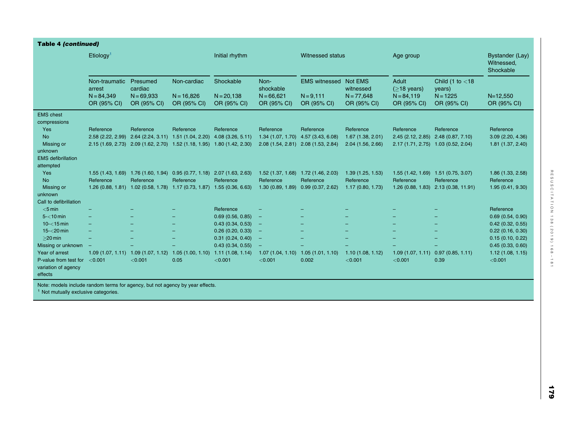<span id="page-11-0"></span>

| <b>Table 4 (continued)</b>                                                    |                                                        |                                                    |                                            |                                          |                                                  |                                                                            |                                                     |                                                        |                                                           |                                            |
|-------------------------------------------------------------------------------|--------------------------------------------------------|----------------------------------------------------|--------------------------------------------|------------------------------------------|--------------------------------------------------|----------------------------------------------------------------------------|-----------------------------------------------------|--------------------------------------------------------|-----------------------------------------------------------|--------------------------------------------|
|                                                                               | Etiology                                               |                                                    |                                            | Initial rhythm                           |                                                  | <b>Witnessed status</b>                                                    |                                                     | Age group                                              |                                                           | Bystander (Lay)<br>Witnessed,<br>Shockable |
|                                                                               | Non-traumatic<br>arrest<br>$N = 84,349$<br>OR (95% CI) | Presumed<br>cardiac<br>$N = 69,933$<br>OR (95% CI) | Non-cardiac<br>$N = 16,826$<br>OR (95% CI) | Shockable<br>$N = 20,138$<br>OR (95% CI) | Non-<br>shockable<br>$N = 66,621$<br>OR (95% CI) | <b>EMS</b> witnessed<br>$N = 9,111$<br>OR (95% CI)                         | Not EMS<br>witnessed<br>$N = 77,648$<br>OR (95% CI) | Adult<br>$($ >18 years)<br>$N = 84,119$<br>OR (95% CI) | Child (1 to $<$ 18<br>years)<br>$N = 1225$<br>OR (95% CI) | $N=12,550$<br>OR (95% CI)                  |
| <b>EMS</b> chest                                                              |                                                        |                                                    |                                            |                                          |                                                  |                                                                            |                                                     |                                                        |                                                           |                                            |
| compressions                                                                  |                                                        |                                                    |                                            |                                          |                                                  |                                                                            |                                                     |                                                        |                                                           |                                            |
| Yes<br><b>No</b>                                                              | Reference<br>2.58(2.22, 2.99)                          | Reference<br>2.64(2.24, 3.11)                      | Reference                                  | Reference                                | Reference                                        | Reference                                                                  | Reference                                           | Reference<br>2.45(2.12, 2.85)                          | Reference                                                 | Reference<br>3.09(2.20, 4.36)              |
| Missing or                                                                    |                                                        | 2.15 (1.69, 2.73) 2.09 (1.62, 2.70)                | 1.51(1.04, 2.20)<br>1.52(1.18, 1.95)       | 4.08(3.26, 5.11)<br>1.80(1.42, 2.30)     |                                                  | 1.34 (1.07, 1.70) 4.57 (3.43, 6.08)<br>2.08 (1.54, 2.81) 2.08 (1.53, 2.84) | 1.67(1.38, 2.01)<br>2.04 (1.56, 2.66)               |                                                        | 2.48 (0.87, 7.10)<br>2.17 (1.71, 2.75) 1.03 (0.52, 2.04)  | 1.81(1.37, 2.40)                           |
| unknown                                                                       |                                                        |                                                    |                                            |                                          |                                                  |                                                                            |                                                     |                                                        |                                                           |                                            |
| <b>EMS</b> defibrillation                                                     |                                                        |                                                    |                                            |                                          |                                                  |                                                                            |                                                     |                                                        |                                                           |                                            |
| attempted                                                                     |                                                        |                                                    |                                            |                                          |                                                  |                                                                            |                                                     |                                                        |                                                           |                                            |
| Yes                                                                           |                                                        | 1.55 (1.43, 1.69) 1.76 (1.60, 1.94)                |                                            | $0.95(0.77, 1.18)$ 2.07 (1.63, 2.63)     | 1.52(1.37, 1.68)                                 | 1.72 (1.46, 2.03)                                                          | 1.39(1.25, 1.53)                                    | 1.55(1.42, 1.69)                                       | 1.51(0.75, 3.07)                                          | 1.86(1.33, 2.58)                           |
| <b>No</b>                                                                     | Reference                                              | Reference                                          | Reference                                  | Reference                                | Reference                                        | Reference                                                                  | Reference                                           | Reference                                              | Reference                                                 | Reference                                  |
| Missing or                                                                    | 1.26(0.88, 1.81)                                       | 1.02(0.58, 1.78)                                   |                                            | 1.17 (0.73, 1.87) 1.55 (0.36, 6.63)      | 1.30(0.89, 1.89)                                 | 0.99(0.37, 2.62)                                                           | 1.17(0.80, 1.73)                                    | 1.26(0.88, 1.83)                                       | 2.13(0.38, 11.91)                                         | 1.95(0.41, 9.30)                           |
| unknown                                                                       |                                                        |                                                    |                                            |                                          |                                                  |                                                                            |                                                     |                                                        |                                                           |                                            |
| Call to defibrillation                                                        |                                                        |                                                    |                                            |                                          |                                                  |                                                                            |                                                     |                                                        |                                                           |                                            |
| $<$ 5 min                                                                     |                                                        |                                                    |                                            | Reference                                |                                                  |                                                                            |                                                     |                                                        |                                                           | Reference                                  |
| $5 - 10$ min                                                                  |                                                        |                                                    |                                            | 0.69(0.56, 0.85)                         | $\equiv$                                         |                                                                            |                                                     |                                                        |                                                           | 0.69(0.54, 0.90)                           |
| $10 - 15$ min                                                                 |                                                        |                                                    |                                            | 0.43(0.34, 0.53)                         | $\qquad \qquad -$                                |                                                                            |                                                     |                                                        |                                                           | 0.42(0.32, 0.55)                           |
| $15 - 20$ min                                                                 |                                                        |                                                    |                                            | 0.26(0.20, 0.33)                         | $\qquad \qquad -$                                |                                                                            |                                                     |                                                        |                                                           | 0.22(0.16, 0.30)                           |
| $>$ 20 min                                                                    |                                                        |                                                    | $\overline{\phantom{0}}$                   | 0.31(0.24, 0.40)                         | $\qquad \qquad -$                                |                                                                            |                                                     |                                                        |                                                           | 0.15(0.10, 0.22)                           |
| Missing or unknown -                                                          |                                                        |                                                    |                                            | 0.43(0.34, 0.55)                         | $\overline{\phantom{m}}$                         |                                                                            |                                                     |                                                        |                                                           | 0.45(0.33, 0.60)                           |
| Year of arrest                                                                | 1.09(1.07, 1.11)                                       | 1.09(1.07, 1.12)                                   |                                            | $1.05(1.00, 1.10)$ $1.11(1.08, 1.14)$    | 1.07(1.04, 1.10)                                 | 1.05(1.01, 1.10)                                                           | 1.10(1.08, 1.12)                                    | 1.09(1.07, 1.11)                                       | 0.97(0.85, 1.11)                                          | 1.12(1.08, 1.15)                           |
| P-value from test for<br>variation of agency<br>effects                       | < 0.001                                                | < 0.001                                            | 0.05                                       | < 0.001                                  | < 0.001                                          | 0.002                                                                      | < 0.001                                             | < 0.001                                                | 0.39                                                      | < 0.001                                    |
| Note: models include random terms for agency, but not agency by year effects. |                                                        |                                                    |                                            |                                          |                                                  |                                                                            |                                                     |                                                        |                                                           |                                            |

<sup>1</sup> Not mutually exclusive categories.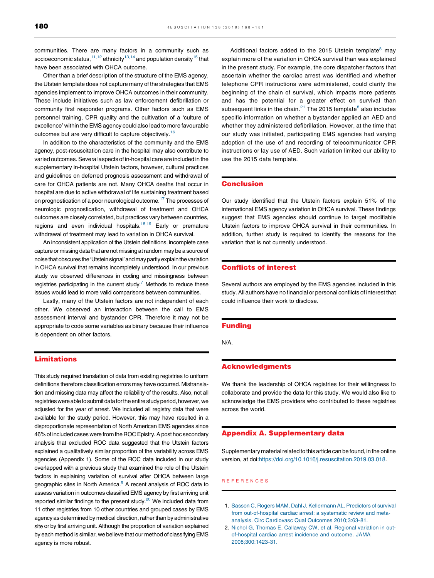<span id="page-12-0"></span>communities. There are many factors in a community such as socioeconomic status,  $11,12$  [ethnicity](#page-13-0)  $13,14$  and [population](#page-13-0) density  $15$  that have been associated with OHCA outcome.

Other than a brief description of the structure of the EMS agency, the Utstein template does not capture many of the strategies that EMS agencies implement to improve OHCA outcomes in their community. These include initiatives such as law enforcement defibrillation or community first responder programs. Other factors such as EMS personnel training, CPR quality and the cultivation of a 'culture of excellence' within the EMS agency could also lead to more favourable outcomes but are very difficult to capture objectively.<sup>[16](#page-13-0)</sup>

In addition to the characteristics of the community and the EMS agency, post-resuscitation care in the hospital may also contribute to varied outcomes.Several aspects of in-hospital care are included in the supplementary in-hospital Utstein factors, however, cultural practices and guidelines on deferred prognosis assessment and withdrawal of care for OHCA patients are not. Many OHCA deaths that occur in hospital are due to active withdrawal of life sustaining treatment based on prognostication of a poor neurological outcome.<sup>17</sup> The processes of neurologic prognostication, withdrawal of treatment and OHCA outcomes are closely correlated, but practices vary between countries, regions and even individual hospitals.<sup>18,19</sup> Early or [premature](#page-13-0) withdrawal of treatment may lead to variation in OHCA survival.

An inconsistent application of the Utstein definitions, incomplete case capture or missing data that are not missing atrandom may be a source of noise that obscures the 'Utstein signal' and may partly explain the variation in OHCA survival that remains incompletely understood. In our previous study we observed differences in coding and missingness between registries participating in the current study.<sup>7</sup> Methods to reduce these issues would lead to more valid comparisons between communities.

Lastly, many of the Utstein factors are not independent of each other. We observed an interaction between the call to EMS assessment interval and bystander CPR. Therefore it may not be appropriate to code some variables as binary because their influence is dependent on other factors.

### Limitations

This study required translation of data from existing registries to uniform definitions therefore classification errors may have occurred. Mistranslation and missing data may affect the reliability of the results. Also, not all registries were able to submit data for the entire study period, however, we adjusted for the year of arrest. We included all registry data that were available for the study period. However, this may have resulted in a disproportionate representation of North American EMS agencies since 46% of included cases were from the ROC Epistry. A post hoc secondary analysis that excluded ROC data suggested that the Utstein factors explained a qualitatively similar proportion of the variability across EMS agencies (Appendix 1). Some of the ROC data included in our study overlapped with a previous study that examined the role of the Utstein factors in explaining variation of survival after OHCA between large geographic sites in North America.<sup>5</sup> A recent analysis of ROC data to assess variation in outcomes classified EMS agency by first arriving unit reported similar findings to the present study.<sup>20</sup> We included data from 11 other registries from 10 other countries and grouped cases by EMS agency as determined by medical direction, rather than by administrative site or by first arriving unit. Although the proportion of variation explained by each method is similar, we believe that our method of classifying EMS agency is more robust.

Additional factors added to the 2015 Utstein template $8$  may explain more of the variation in OHCA survival than was explained in the present study. For example, the core dispatcher factors that ascertain whether the cardiac arrest was identified and whether telephone CPR instructions were administered, could clarify the beginning of the chain of survival, which impacts more patients and has the potential for a greater effect on survival than subsequent links in the chain. $21$  The 2015 template<sup>[8](#page-13-0)</sup> also includes specific information on whether a bystander applied an AED and whether they administered defibrillation. However, at the time that our study was initiated, participating EMS agencies had varying adoption of the use of and recording of telecommunicator CPR instructions or lay use of AED. Such variation limited our ability to use the 2015 data template.

### Conclusion

Our study identified that the Utstein factors explain 51% of the international EMS agency variation in OHCA survival. These findings suggest that EMS agencies should continue to target modifiable Utstein factors to improve OHCA survival in their communities. In addition, further study is required to identify the reasons for the variation that is not currently understood.

### Conflicts of interest

Several authors are employed by the EMS agencies included in this study. All authors have no financial or personal conflicts of interest that could influence their work to disclose.

### Funding

N/A.

### Acknowledgments

We thank the leadership of OHCA registries for their willingness to collaborate and provide the data for this study. We would also like to acknowledge the EMS providers who contributed to these registries across the world.

### Appendix A. Supplementary data

Supplementary material related to this article can be found, in the online version, at doi[:https://doi.org/10.1016/j.resuscitation.2019.03.018](https://doi.org/10.1016/j.resuscitation.2019.03.018).

### R E F E R E N C E S

- 1. Sasson C, Rogers MAM, Dahl J, [Kellermann](http://refhub.elsevier.com/S0300-9572(18)30957-2/sbref0005) AL. Predictors of survival from [out-of-hospital](http://refhub.elsevier.com/S0300-9572(18)30957-2/sbref0005) cardiac arrest: a systematic review and metaanalysis. Circ [Cardiovasc](http://refhub.elsevier.com/S0300-9572(18)30957-2/sbref0005) Qual Outcomes 2010;3:63–81.
- 2. Nichol G, Thomas E, [Callaway](http://refhub.elsevier.com/S0300-9572(18)30957-2/sbref0010) CW, et al. Regional variation in out[of-hospital](http://refhub.elsevier.com/S0300-9572(18)30957-2/sbref0010) cardiac arrest incidence and outcome. JAMA [2008;300:1423](http://refhub.elsevier.com/S0300-9572(18)30957-2/sbref0010)–31.